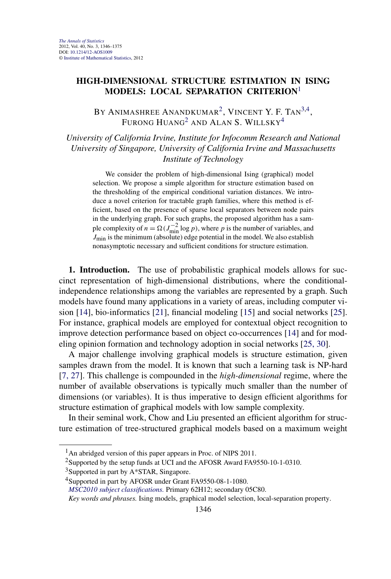# **HIGH-DIMENSIONAL STRUCTURE ESTIMATION IN ISING MODELS: LOCAL SEPARATION CRITERION**<sup>1</sup>

BY ANIMASHREE ANANDKUMAR<sup>2</sup>, VINCENT Y. F. Tan<sup>3,4</sup>, Furong Huang $^2$  and Alan S. Willsky $^4$ 

*University of California Irvine, Institute for Infocomm Research and National University of Singapore, University of California Irvine and Massachusetts Institute of Technology*

We consider the problem of high-dimensional Ising (graphical) model selection. We propose a simple algorithm for structure estimation based on the thresholding of the empirical conditional variation distances. We introduce a novel criterion for tractable graph families, where this method is efficient, based on the presence of sparse local separators between node pairs in the underlying graph. For such graphs, the proposed algorithm has a sample complexity of  $n = \Omega(J_{\text{min}}^{-2} \log p)$ , where *p* is the number of variables, and *J*<sub>min</sub> is the minimum (absolute) edge potential in the model. We also establish nonasymptotic necessary and sufficient conditions for structure estimation.

**1. Introduction.** The use of probabilistic graphical models allows for succinct representation of high-dimensional distributions, where the conditionalindependence relationships among the variables are represented by a graph. Such models have found many applications in a variety of areas, including computer vision [\[14\]](#page-27-0), bio-informatics [\[21\]](#page-27-0), financial modeling [\[15\]](#page-27-0) and social networks [\[25\]](#page-27-0). For instance, graphical models are employed for contextual object recognition to improve detection performance based on object co-occurrences [\[14\]](#page-27-0) and for modeling opinion formation and technology adoption in social networks [\[25, 30\]](#page-27-0).

A major challenge involving graphical models is structure estimation, given samples drawn from the model. It is known that such a learning task is NP-hard [\[7, 27\]](#page-27-0). This challenge is compounded in the *high-dimensional* regime, where the number of available observations is typically much smaller than the number of dimensions (or variables). It is thus imperative to design efficient algorithms for structure estimation of graphical models with low sample complexity.

In their seminal work, Chow and Liu presented an efficient algorithm for structure estimation of tree-structured graphical models based on a maximum weight

 $<sup>1</sup>$ An abridged version of this paper appears in Proc. of NIPS 2011.</sup>

<sup>2</sup>Supported by the setup funds at UCI and the AFOSR Award FA9550-10-1-0310.

 $3$ Supported in part by A $*$ STAR, Singapore.

<sup>&</sup>lt;sup>4</sup>Supported in part by AFOSR under Grant FA9550-08-1-1080.

*[MSC2010 subject classifications.](http://www.ams.org/mathscinet/msc/msc2010.html)* Primary 62H12; secondary 05C80.

*Key words and phrases.* Ising models, graphical model selection, local-separation property.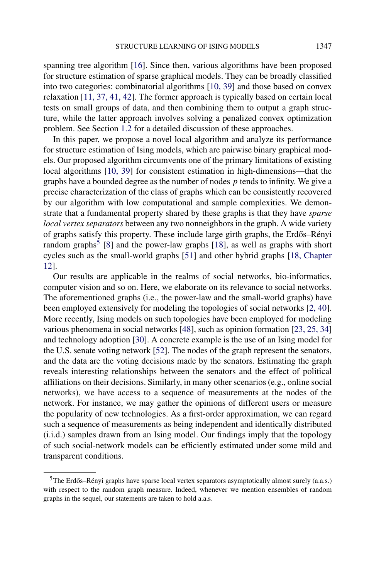spanning tree algorithm [\[16\]](#page-27-0). Since then, various algorithms have been proposed for structure estimation of sparse graphical models. They can be broadly classified into two categories: combinatorial algorithms [\[10, 39\]](#page-27-0) and those based on convex relaxation [\[11, 37, 41, 42\]](#page-27-0). The former approach is typically based on certain local tests on small groups of data, and then combining them to output a graph structure, while the latter approach involves solving a penalized convex optimization problem. See Section [1.2](#page-3-0) for a detailed discussion of these approaches.

In this paper, we propose a novel local algorithm and analyze its performance for structure estimation of Ising models, which are pairwise binary graphical models. Our proposed algorithm circumvents one of the primary limitations of existing local algorithms [\[10, 39\]](#page-27-0) for consistent estimation in high-dimensions—that the graphs have a bounded degree as the number of nodes *p* tends to infinity. We give a precise characterization of the class of graphs which can be consistently recovered by our algorithm with low computational and sample complexities. We demonstrate that a fundamental property shared by these graphs is that they have *sparse local vertex separators* between any two nonneighbors in the graph. A wide variety of graphs satisfy this property. These include large girth graphs, the Erdős–Rényi random graphs<sup>5</sup> [\[8\]](#page-27-0) and the power-law graphs [\[18\]](#page-27-0), as well as graphs with short cycles such as the small-world graphs [\[51\]](#page-29-0) and other hybrid graphs [\[18, Chapter](#page-27-0) [12\]](#page-27-0).

Our results are applicable in the realms of social networks, bio-informatics, computer vision and so on. Here, we elaborate on its relevance to social networks. The aforementioned graphs (i.e., the power-law and the small-world graphs) have been employed extensively for modeling the topologies of social networks [\[2, 40\]](#page-26-0). More recently, Ising models on such topologies have been employed for modeling various phenomena in social networks [\[48\]](#page-29-0), such as opinion formation [\[23, 25, 34\]](#page-27-0) and technology adoption [\[30\]](#page-28-0). A concrete example is the use of an Ising model for the U.S. senate voting network [\[52\]](#page-29-0). The nodes of the graph represent the senators, and the data are the voting decisions made by the senators. Estimating the graph reveals interesting relationships between the senators and the effect of political affiliations on their decisions. Similarly, in many other scenarios (e.g., online social networks), we have access to a sequence of measurements at the nodes of the network. For instance, we may gather the opinions of different users or measure the popularity of new technologies. As a first-order approximation, we can regard such a sequence of measurements as being independent and identically distributed (i.i.d.) samples drawn from an Ising model. Our findings imply that the topology of such social-network models can be efficiently estimated under some mild and transparent conditions.

 $5$ The Erdős–Rényi graphs have sparse local vertex separators asymptotically almost surely (a.a.s.) with respect to the random graph measure. Indeed, whenever we mention ensembles of random graphs in the sequel, our statements are taken to hold a.a.s.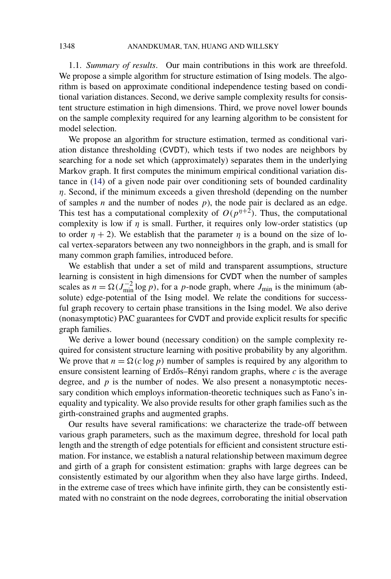1.1. *Summary of results*. Our main contributions in this work are threefold. We propose a simple algorithm for structure estimation of Ising models. The algorithm is based on approximate conditional independence testing based on conditional variation distances. Second, we derive sample complexity results for consistent structure estimation in high dimensions. Third, we prove novel lower bounds on the sample complexity required for any learning algorithm to be consistent for model selection.

We propose an algorithm for structure estimation, termed as conditional variation distance thresholding (CVDT), which tests if two nodes are neighbors by searching for a node set which (approximately) separates them in the underlying Markov graph. It first computes the minimum empirical conditional variation distance in [\(14\)](#page-7-0) of a given node pair over conditioning sets of bounded cardinality *η*. Second, if the minimum exceeds a given threshold (depending on the number of samples  $n$  and the number of nodes  $p$ ), the node pair is declared as an edge. This test has a computational complexity of  $O(p^{n+2})$ . Thus, the computational complexity is low if  $\eta$  is small. Further, it requires only low-order statistics (up to order  $η + 2$ ). We establish that the parameter  $η$  is a bound on the size of local vertex-separators between any two nonneighbors in the graph, and is small for many common graph families, introduced before.

We establish that under a set of mild and transparent assumptions, structure learning is consistent in high dimensions for CVDT when the number of samples scales as  $n = \Omega(J_{\text{min}}^{-2} \log p)$ , for a *p*-node graph, where  $J_{\text{min}}$  is the minimum (absolute) edge-potential of the Ising model. We relate the conditions for successful graph recovery to certain phase transitions in the Ising model. We also derive (nonasymptotic) PAC guarantees for CVDT and provide explicit results for specific graph families.

We derive a lower bound (necessary condition) on the sample complexity required for consistent structure learning with positive probability by any algorithm. We prove that  $n = \Omega(c \log p)$  number of samples is required by any algorithm to ensure consistent learning of Erdős–Rényi random graphs, where  $c$  is the average degree, and *p* is the number of nodes. We also present a nonasymptotic necessary condition which employs information-theoretic techniques such as Fano's inequality and typicality. We also provide results for other graph families such as the girth-constrained graphs and augmented graphs.

Our results have several ramifications: we characterize the trade-off between various graph parameters, such as the maximum degree, threshold for local path length and the strength of edge potentials for efficient and consistent structure estimation. For instance, we establish a natural relationship between maximum degree and girth of a graph for consistent estimation: graphs with large degrees can be consistently estimated by our algorithm when they also have large girths. Indeed, in the extreme case of trees which have infinite girth, they can be consistently estimated with no constraint on the node degrees, corroborating the initial observation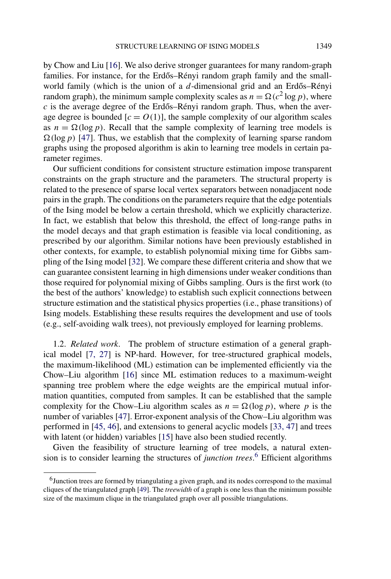<span id="page-3-0"></span>by Chow and Liu [\[16\]](#page-27-0). We also derive stronger guarantees for many random-graph families. For instance, for the Erdős–Rényi random graph family and the smallworld family (which is the union of a *d*-dimensional grid and an Erdős–Rényi random graph), the minimum sample complexity scales as  $n = \Omega(c^2 \log p)$ , where  $c$  is the average degree of the Erdős–Rényi random graph. Thus, when the average degree is bounded  $[c = O(1)]$ , the sample complexity of our algorithm scales as  $n = \Omega(\log p)$ . Recall that the sample complexity of learning tree models is  $\Omega(\log p)$  [\[47\]](#page-29-0). Thus, we establish that the complexity of learning sparse random graphs using the proposed algorithm is akin to learning tree models in certain parameter regimes.

Our sufficient conditions for consistent structure estimation impose transparent constraints on the graph structure and the parameters. The structural property is related to the presence of sparse local vertex separators between nonadjacent node pairs in the graph. The conditions on the parameters require that the edge potentials of the Ising model be below a certain threshold, which we explicitly characterize. In fact, we establish that below this threshold, the effect of long-range paths in the model decays and that graph estimation is feasible via local conditioning, as prescribed by our algorithm. Similar notions have been previously established in other contexts, for example, to establish polynomial mixing time for Gibbs sampling of the Ising model [\[32\]](#page-28-0). We compare these different criteria and show that we can guarantee consistent learning in high dimensions under weaker conditions than those required for polynomial mixing of Gibbs sampling. Ours is the first work (to the best of the authors' knowledge) to establish such explicit connections between structure estimation and the statistical physics properties (i.e., phase transitions) of Ising models. Establishing these results requires the development and use of tools (e.g., self-avoiding walk trees), not previously employed for learning problems.

1.2. *Related work*. The problem of structure estimation of a general graphical model [\[7, 27\]](#page-27-0) is NP-hard. However, for tree-structured graphical models, the maximum-likelihood (ML) estimation can be implemented efficiently via the Chow–Liu algorithm [\[16\]](#page-27-0) since ML estimation reduces to a maximum-weight spanning tree problem where the edge weights are the empirical mutual information quantities, computed from samples. It can be established that the sample complexity for the Chow–Liu algorithm scales as  $n = \Omega(\log p)$ , where p is the number of variables [\[47\]](#page-29-0). Error-exponent analysis of the Chow–Liu algorithm was performed in [\[45, 46\]](#page-28-0), and extensions to general acyclic models [\[33, 47\]](#page-28-0) and trees with latent (or hidden) variables [\[15\]](#page-27-0) have also been studied recently.

Given the feasibility of structure learning of tree models, a natural extension is to consider learning the structures of *junction trees*. <sup>6</sup> Efficient algorithms

<sup>6</sup>Junction trees are formed by triangulating a given graph, and its nodes correspond to the maximal cliques of the triangulated graph [\[49\]](#page-29-0). The *treewidth* of a graph is one less than the minimum possible size of the maximum clique in the triangulated graph over all possible triangulations.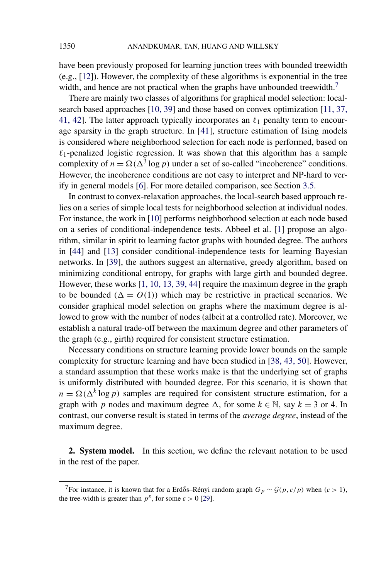have been previously proposed for learning junction trees with bounded treewidth (e.g., [\[12\]](#page-27-0)). However, the complexity of these algorithms is exponential in the tree width, and hence are not practical when the graphs have unbounded treewidth.<sup>7</sup>

There are mainly two classes of algorithms for graphical model selection: localsearch based approaches [\[10, 39\]](#page-27-0) and those based on convex optimization [\[11, 37,](#page-27-0) [41, 42\]](#page-27-0). The latter approach typically incorporates an  $\ell_1$  penalty term to encourage sparsity in the graph structure. In [\[41\]](#page-28-0), structure estimation of Ising models is considered where neighborhood selection for each node is performed, based on  $\ell_1$ -penalized logistic regression. It was shown that this algorithm has a sample complexity of  $n = \Omega(\Delta^3 \log p)$  under a set of so-called "incoherence" conditions. However, the incoherence conditions are not easy to interpret and NP-hard to verify in general models [\[6\]](#page-27-0). For more detailed comparison, see Section [3.5.](#page-18-0)

In contrast to convex-relaxation approaches, the local-search based approach relies on a series of simple local tests for neighborhood selection at individual nodes. For instance, the work in [\[10\]](#page-27-0) performs neighborhood selection at each node based on a series of conditional-independence tests. Abbeel et al. [\[1\]](#page-26-0) propose an algorithm, similar in spirit to learning factor graphs with bounded degree. The authors in [\[44\]](#page-28-0) and [\[13\]](#page-27-0) consider conditional-independence tests for learning Bayesian networks. In [\[39\]](#page-28-0), the authors suggest an alternative, greedy algorithm, based on minimizing conditional entropy, for graphs with large girth and bounded degree. However, these works [\[1, 10, 13, 39, 44\]](#page-26-0) require the maximum degree in the graph to be bounded  $(\Delta = O(1))$  which may be restrictive in practical scenarios. We consider graphical model selection on graphs where the maximum degree is allowed to grow with the number of nodes (albeit at a controlled rate). Moreover, we establish a natural trade-off between the maximum degree and other parameters of the graph (e.g., girth) required for consistent structure estimation.

Necessary conditions on structure learning provide lower bounds on the sample complexity for structure learning and have been studied in [\[38, 43, 50\]](#page-28-0). However, a standard assumption that these works make is that the underlying set of graphs is uniformly distributed with bounded degree. For this scenario, it is shown that  $n = \Omega(\Delta^k \log p)$  samples are required for consistent structure estimation, for a graph with *p* nodes and maximum degree  $\Delta$ , for some  $k \in \mathbb{N}$ , say  $k = 3$  or 4. In contrast, our converse result is stated in terms of the *average degree*, instead of the maximum degree.

**2. System model.** In this section, we define the relevant notation to be used in the rest of the paper.

<sup>7</sup>For instance, it is known that for a Erdős–Rényi random graph  $G_p \sim \mathcal{G}(p, c/p)$  when  $(c > 1)$ , the tree-width is greater than  $p^{\varepsilon}$ , for some  $\varepsilon > 0$  [\[29\]](#page-28-0).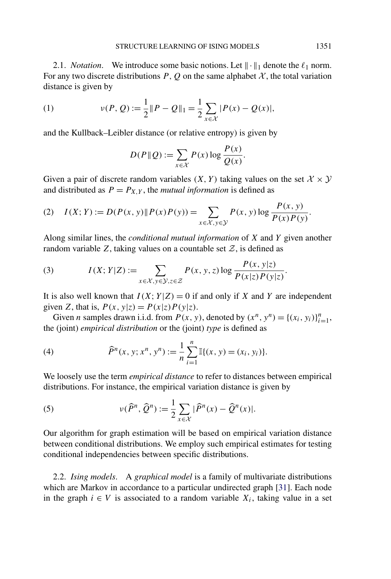2.1. *Notation*. We introduce some basic notions. Let  $\|\cdot\|_1$  denote the  $\ell_1$  norm. For any two discrete distributions  $P, Q$  on the same alphabet  $X$ , the total variation distance is given by

(1) 
$$
\nu(P, Q) := \frac{1}{2} ||P - Q||_1 = \frac{1}{2} \sum_{x \in \mathcal{X}} |P(x) - Q(x)|,
$$

and the Kullback–Leibler distance (or relative entropy) is given by

$$
D(P \| Q) := \sum_{x \in \mathcal{X}} P(x) \log \frac{P(x)}{Q(x)}.
$$

Given a pair of discrete random variables  $(X, Y)$  taking values on the set  $X \times Y$ and distributed as  $P = P_{X,Y}$ , the *mutual information* is defined as

(2) 
$$
I(X; Y) := D(P(x, y) \| P(x) P(y)) = \sum_{x \in \mathcal{X}, y \in \mathcal{Y}} P(x, y) \log \frac{P(x, y)}{P(x) P(y)}.
$$

Along similar lines, the *conditional mutual information* of *X* and *Y* given another random variable  $Z$ , taking values on a countable set  $Z$ , is defined as

(3) 
$$
I(X; Y|Z) := \sum_{x \in \mathcal{X}, y \in \mathcal{Y}, z \in \mathcal{Z}} P(x, y, z) \log \frac{P(x, y|z)}{P(x|z)P(y|z)}.
$$

It is also well known that  $I(X; Y|Z) = 0$  if and only if X and Y are independent given *Z*, that is,  $P(x, y|z) = P(x|z)P(y|z)$ .

Given *n* samples drawn i.i.d. from  $P(x, y)$ , denoted by  $(x^n, y^n) = \{(x_i, y_i)\}_{i=1}^n$ , the (joint) *empirical distribution* or the (joint) *type* is defined as

(4) 
$$
\widehat{P}^n(x, y; x^n, y^n) := \frac{1}{n} \sum_{i=1}^n \mathbb{I}\{(x, y) = (x_i, y_i)\}.
$$

We loosely use the term *empirical distance* to refer to distances between empirical distributions. For instance, the empirical variation distance is given by

(5) 
$$
\nu(\widehat{P}^n, \widehat{Q}^n) := \frac{1}{2} \sum_{x \in \mathcal{X}} |\widehat{P}^n(x) - \widehat{Q}^n(x)|.
$$

Our algorithm for graph estimation will be based on empirical variation distance between conditional distributions. We employ such empirical estimates for testing conditional independencies between specific distributions.

2.2. *Ising models*. A *graphical model* is a family of multivariate distributions which are Markov in accordance to a particular undirected graph [\[31\]](#page-28-0). Each node in the graph *i* ∈ *V* is associated to a random variable *Xi*, taking value in a set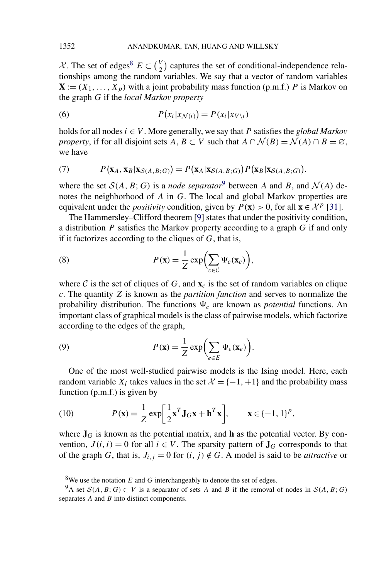$X$ . The set of edges<sup>8</sup>  $E \subset {V \choose 2}$  captures the set of conditional-independence relationships among the random variables. We say that a vector of random variables  $X := (X_1, \ldots, X_p)$  with a joint probability mass function (p.m.f.) *P* is Markov on the graph *G* if the *local Markov property*

(6) 
$$
P(x_i|x_{\mathcal{N}(i)}) = P(x_i|x_{V\setminus i})
$$

holds for all nodes  $i \in V$ . More generally, we say that P satisfies the *global Markov property*, if for all disjoint sets *A, B* ⊂ *V* such that  $A \cap \mathcal{N}(B) = \mathcal{N}(A) \cap B = \emptyset$ , we have

(7) 
$$
P(\mathbf{x}_A, \mathbf{x}_B | \mathbf{x}_{S(A,B;G)}) = P(\mathbf{x}_A | \mathbf{x}_{S(A,B;G)}) P(\mathbf{x}_B | \mathbf{x}_{S(A,B;G)}).
$$

where the set  $S(A, B; G)$  is a *node separator*<sup>9</sup> between *A* and *B*, and  $\mathcal{N}(A)$  denotes the neighborhood of *A* in *G*. The local and global Markov properties are equivalent under the *positivity* condition, given by  $P(\mathbf{x}) > 0$ , for all  $\mathbf{x} \in \mathcal{X}^p$  [\[31\]](#page-28-0).

The Hammersley–Clifford theorem [\[9\]](#page-27-0) states that under the positivity condition, a distribution *P* satisfies the Markov property according to a graph *G* if and only if it factorizes according to the cliques of *G*, that is,

(8) 
$$
P(\mathbf{x}) = \frac{1}{Z} \exp\left(\sum_{c \in C} \Psi_c(\mathbf{x}_c)\right),
$$

where C is the set of cliques of G, and  $\mathbf{x}_c$  is the set of random variables on clique *c*. The quantity *Z* is known as the *partition function* and serves to normalize the probability distribution. The functions  $\Psi_c$  are known as *potential* functions. An important class of graphical models is the class of pairwise models, which factorize according to the edges of the graph,

(9) 
$$
P(\mathbf{x}) = \frac{1}{Z} \exp\biggl(\sum_{e \in E} \Psi_e(\mathbf{x}_e)\biggr).
$$

One of the most well-studied pairwise models is the Ising model. Here, each random variable  $X_i$  takes values in the set  $\mathcal{X} = \{-1, +1\}$  and the probability mass function (p.m.f.) is given by

(10) 
$$
P(\mathbf{x}) = \frac{1}{Z} \exp\left[\frac{1}{2}\mathbf{x}^T \mathbf{J}_G \mathbf{x} + \mathbf{h}^T \mathbf{x}\right], \qquad \mathbf{x} \in \{-1, 1\}^p,
$$

where  $J_G$  is known as the potential matrix, and **h** as the potential vector. By convention,  $J(i, i) = 0$  for all  $i \in V$ . The sparsity pattern of  $J_G$  corresponds to that of the graph *G*, that is,  $J_{i,j} = 0$  for  $(i, j) \notin G$ . A model is said to be *attractive* or

<sup>&</sup>lt;sup>8</sup>We use the notation  $E$  and  $G$  interchangeably to denote the set of edges.

<sup>&</sup>lt;sup>9</sup>A set  $S(A, B; G)$  ⊂ *V* is a separator of sets *A* and *B* if the removal of nodes in  $S(A, B; G)$ separates *A* and *B* into distinct components.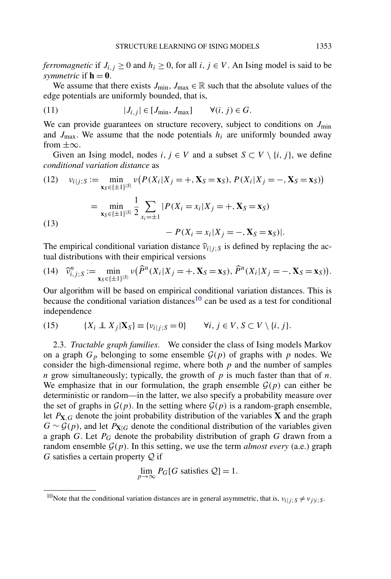<span id="page-7-0"></span>*ferromagnetic* if  $J_{i,j} \geq 0$  and  $h_i \geq 0$ , for all  $i, j \in V$ . An Ising model is said to be *symmetric* if  $h = 0$ .

We assume that there exists  $J_{\text{min}}$ ,  $J_{\text{max}} \in \mathbb{R}$  such that the absolute values of the edge potentials are uniformly bounded, that is,

(11) 
$$
|J_{i,j}| \in [J_{\min}, J_{\max}] \qquad \forall (i,j) \in G.
$$

We can provide guarantees on structure recovery, subject to conditions on  $J_{\text{min}}$ and  $J_{\text{max}}$ . We assume that the node potentials  $h_i$  are uniformly bounded away from  $\pm \infty$ .

Given an Ising model, nodes *i*,  $j \in V$  and a subset  $S \subset V \setminus \{i, j\}$ , we define *conditional variation distance* as

(12) 
$$
v_{i|j;S} := \min_{\mathbf{x}_S \in \{\pm 1\}^{|S|}} v(P(X_i | X_j = +, \mathbf{X}_S = \mathbf{x}_S), P(X_i | X_j = -, \mathbf{X}_S = \mathbf{x}_S))
$$
  
\n
$$
= \min_{\mathbf{x}_S \in \{\pm 1\}^{|S|}} \frac{1}{2} \sum_{x_i = \pm 1} |P(X_i = x_i | X_j = +, \mathbf{X}_S = \mathbf{x}_S)
$$
  
\n(13) 
$$
- P(X_i = x_i | X_j = -, \mathbf{X}_S = \mathbf{x}_S)|.
$$

The empirical conditional variation distance  $\hat{v}_{i|j;S}$  is defined by replacing the actual distributions with their empirical versions

$$
(14) \quad \widehat{\nu}_{i,j;S}^n := \min_{\mathbf{x}_S \in \{\pm 1\}^{|S|}} \nu(\widehat{P}^n(X_i | X_j = +, \mathbf{X}_S = \mathbf{x}_S), \widehat{P}^n(X_i | X_j = -, \mathbf{X}_S = \mathbf{x}_S)).
$$

Our algorithm will be based on empirical conditional variation distances. This is because the conditional variation distances<sup>10</sup> can be used as a test for conditional independence

(15) 
$$
\{X_i \perp\!\!\!\perp X_j | \mathbf{X}_S\} \equiv \{v_{i|j;S} = 0\} \qquad \forall i, j \in V, S \subset V \setminus \{i, j\}.
$$

2.3. *Tractable graph families*. We consider the class of Ising models Markov on a graph  $G_p$  belonging to some ensemble  $\mathcal{G}(p)$  of graphs with p nodes. We consider the high-dimensional regime, where both *p* and the number of samples *n* grow simultaneously; typically, the growth of *p* is much faster than that of *n*. We emphasize that in our formulation, the graph ensemble  $G(p)$  can either be deterministic or random—in the latter, we also specify a probability measure over the set of graphs in  $\mathcal{G}(p)$ . In the setting where  $\mathcal{G}(p)$  is a random-graph ensemble, let  $P_{\mathbf{X},G}$  denote the joint probability distribution of the variables **X** and the graph  $G \sim \mathcal{G}(p)$ , and let  $P_{\mathbf{X}|G}$  denote the conditional distribution of the variables given a graph *G*. Let *PG* denote the probability distribution of graph *G* drawn from a random ensemble  $G(p)$ . In this setting, we use the term *almost every* (a.e.) graph *G* satisfies a certain property Q if

$$
\lim_{p \to \infty} P_G[G \text{ satisfies } \mathcal{Q}] = 1.
$$

<sup>&</sup>lt;sup>10</sup>Note that the conditional variation distances are in general asymmetric, that is,  $v_{i|j}$ ;  $S \neq v_{j|i}$ ; *S*.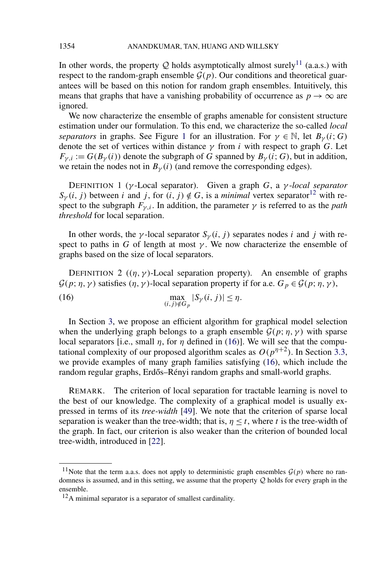In other words, the property  $Q$  holds asymptotically almost surely<sup>11</sup> (a.a.s.) with respect to the random-graph ensemble  $G(p)$ . Our conditions and theoretical guarantees will be based on this notion for random graph ensembles. Intuitively, this means that graphs that have a vanishing probability of occurrence as  $p \to \infty$  are ignored.

We now characterize the ensemble of graphs amenable for consistent structure estimation under our formulation. To this end, we characterize the so-called *local separators* in graphs. See Figure [1](#page-9-0) for an illustration. For  $\gamma \in \mathbb{N}$ , let  $B_{\gamma}(i; G)$ denote the set of vertices within distance  $\gamma$  from *i* with respect to graph *G*. Let  $F_{\gamma,i} := G(B_{\gamma}(i))$  denote the subgraph of *G* spanned by  $B_{\gamma}(i; G)$ , but in addition, we retain the nodes not in  $B_{\gamma}(i)$  (and remove the corresponding edges).

DEFINITION 1 (*γ* -Local separator). Given a graph *G*, a *γ* -*local separator*  $S_{\gamma}(i, j)$  between *i* and *j*, for  $(i, j) \notin G$ , is a *minimal* vertex separator<sup>12</sup> with respect to the subgraph  $F_{\gamma,i}$ . In addition, the parameter  $\gamma$  is referred to as the *path threshold* for local separation.

In other words, the *γ*-local separator  $S_\gamma(i, j)$  separates nodes *i* and *j* with respect to paths in *G* of length at most  $\gamma$ . We now characterize the ensemble of graphs based on the size of local separators.

DEFINITION 2  $((\eta, \gamma)$ -Local separation property). An ensemble of graphs  $\mathcal{G}(p; \eta, \gamma)$  satisfies  $(\eta, \gamma)$ -local separation property if for a.e.  $G_p \in \mathcal{G}(p; \eta, \gamma)$ ,

(16)  $\max_{(i,j)\notin G_p} |S_{\gamma}(i,j)| \leq \eta.$ 

In Section [3,](#page-9-0) we propose an efficient algorithm for graphical model selection when the underlying graph belongs to a graph ensemble  $G(p; \eta, \gamma)$  with sparse local separators [i.e., small  $\eta$ , for  $\eta$  defined in (16)]. We will see that the computational complexity of our proposed algorithm scales as  $O(p^{n+2})$ . In Section [3.3,](#page-15-0) we provide examples of many graph families satisfying (16), which include the random regular graphs, Erdős–Rényi random graphs and small-world graphs.

REMARK. The criterion of local separation for tractable learning is novel to the best of our knowledge. The complexity of a graphical model is usually expressed in terms of its *tree-width* [\[49\]](#page-29-0). We note that the criterion of sparse local separation is weaker than the tree-width; that is,  $\eta \leq t$ , where *t* is the tree-width of the graph. In fact, our criterion is also weaker than the criterion of bounded local tree-width, introduced in [\[22\]](#page-27-0).

<span id="page-8-0"></span>

<sup>&</sup>lt;sup>11</sup>Note that the term a.a.s. does not apply to deterministic graph ensembles  $G(p)$  where no randomness is assumed, and in this setting, we assume that the property  $Q$  holds for every graph in the ensemble.

<sup>&</sup>lt;sup>12</sup>A minimal separator is a separator of smallest cardinality.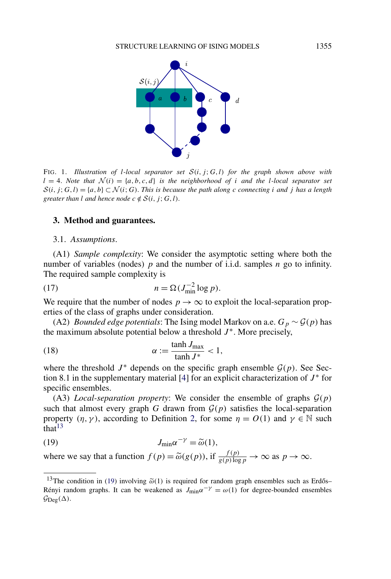<span id="page-9-0"></span>

FIG. 1. *Illustration of l-local separator set* S*(i, j* ; *G, l) for the graph shown above with*  $l = 4$ . *Note that*  $\mathcal{N}(i) = \{a, b, c, d\}$  *is the neighborhood of i and the l-local separator set*  $S(i, j; G, l) = \{a, b\} \subset \mathcal{N}(i; G)$ . This is because the path along *c* connecting *i* and *j* has a length *greater than l and hence node*  $c \notin S(i, j; G, l)$ .

#### **3. Method and guarantees.**

3.1. *Assumptions*.

(A1) *Sample complexity*: We consider the asymptotic setting where both the number of variables (nodes) *p* and the number of i.i.d. samples *n* go to infinity. The required sample complexity is

(17) 
$$
n = \Omega(J_{\min}^{-2} \log p).
$$

We require that the number of nodes  $p \to \infty$  to exploit the local-separation properties of the class of graphs under consideration.

(A2) *Bounded edge potentials*: The Ising model Markov on a.e.  $G_p \sim \mathcal{G}(p)$  has the maximum absolute potential below a threshold  $J^*$ . More precisely,

(18) 
$$
\alpha := \frac{\tanh J_{\text{max}}}{\tanh J^*} < 1,
$$

where the threshold  $J^*$  depends on the specific graph ensemble  $\mathcal{G}(p)$ . See Sec-tion 8.1 in the supplementary material [\[4\]](#page-26-0) for an explicit characterization of  $J^*$  for specific ensembles.

(A3) *Local-separation property*: We consider the ensemble of graphs  $\mathcal{G}(p)$ such that almost every graph *G* drawn from  $\mathcal{G}(p)$  satisfies the local-separation property  $(\eta, \gamma)$ , according to Definition [2,](#page-8-0) for some  $\eta = O(1)$  and  $\gamma \in \mathbb{N}$  such  $\int$ that<sup>13</sup>

(19) 
$$
J_{\min} \alpha^{-\gamma} = \widetilde{\omega}(1),
$$

where we say that a function  $f(p) = \tilde{\omega}(g(p))$ , if  $\frac{f(p)}{g(p)\log p} \to \infty$  as  $p \to \infty$ .

<sup>&</sup>lt;sup>13</sup>The condition in (19) involving  $\tilde{\omega}(1)$  is required for random graph ensembles such as Erdős– Rényi random graphs. It can be weakened as  $J_{\text{min}}\alpha^{-\gamma} = \omega(1)$  for degree-bounded ensembles  $\mathcal{G}_{\text{Deg}}(\Delta)$ .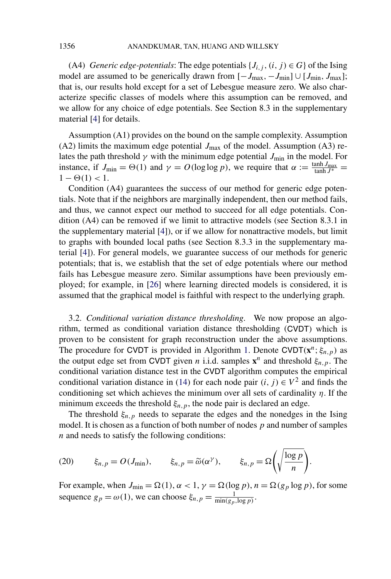<span id="page-10-0"></span>(A4) *Generic edge-potentials*: The edge potentials  $\{J_{i,j}, (i,j) \in G\}$  of the Ising model are assumed to be generically drawn from  $[-J_{\text{max}}, -J_{\text{min}}] \cup [J_{\text{min}}, J_{\text{max}}]$ ; that is, our results hold except for a set of Lebesgue measure zero. We also characterize specific classes of models where this assumption can be removed, and we allow for any choice of edge potentials. See Section 8.3 in the supplementary material [\[4\]](#page-26-0) for details.

Assumption (A1) provides on the bound on the sample complexity. Assumption (A2) limits the maximum edge potential  $J_{\text{max}}$  of the model. Assumption (A3) relates the path threshold  $\gamma$  with the minimum edge potential  $J_{\text{min}}$  in the model. For instance, if  $J_{\min} = \Theta(1)$  and  $\gamma = O(\log \log p)$ , we require that  $\alpha := \frac{\tanh J_{\max}}{\tanh J^*}$  $1 - \Theta(1) < 1$ .

Condition (A4) guarantees the success of our method for generic edge potentials. Note that if the neighbors are marginally independent, then our method fails, and thus, we cannot expect our method to succeed for all edge potentials. Condition (A4) can be removed if we limit to attractive models (see Section 8.3.1 in the supplementary material [\[4\]](#page-26-0)), or if we allow for nonattractive models, but limit to graphs with bounded local paths (see Section 8.3.3 in the supplementary material [\[4\]](#page-26-0)). For general models, we guarantee success of our methods for generic potentials; that is, we establish that the set of edge potentials where our method fails has Lebesgue measure zero. Similar assumptions have been previously employed; for example, in [\[26\]](#page-28-0) where learning directed models is considered, it is assumed that the graphical model is faithful with respect to the underlying graph.

3.2. *Conditional variation distance thresholding*. We now propose an algorithm, termed as conditional variation distance thresholding (CVDT) which is proven to be consistent for graph reconstruction under the above assumptions. The procedure for CVDT is provided in Algorithm [1.](#page-11-0) Denote CVDT $(\mathbf{x}^n; \xi_{n,p})$  as the output edge set from CVDT given *n* i.i.d. samples  $\mathbf{x}^n$  and threshold  $\xi_{n,p}$ . The conditional variation distance test in the CVDT algorithm computes the empirical conditional variation distance in [\(14\)](#page-7-0) for each node pair  $(i, j) \in V^2$  and finds the conditioning set which achieves the minimum over all sets of cardinality *η*. If the minimum exceeds the threshold  $\xi_{n,p}$ , the node pair is declared an edge.

The threshold  $\xi_{n,p}$  needs to separate the edges and the nonedges in the Ising model. It is chosen as a function of both number of nodes *p* and number of samples *n* and needs to satisfy the following conditions:

(20) 
$$
\xi_{n,p} = O(J_{\min}), \qquad \xi_{n,p} = \widetilde{\omega}(\alpha^{\gamma}), \qquad \xi_{n,p} = \Omega\left(\sqrt{\frac{\log p}{n}}\right).
$$

For example, when  $J_{\min} = \Omega(1)$ ,  $\alpha < 1$ ,  $\gamma = \Omega(\log p)$ ,  $n = \Omega(g_p \log p)$ , for some sequence  $g_p = \omega(1)$ , we can choose  $\xi_{n,p} = \frac{1}{\min(g_p, \log p)}$ .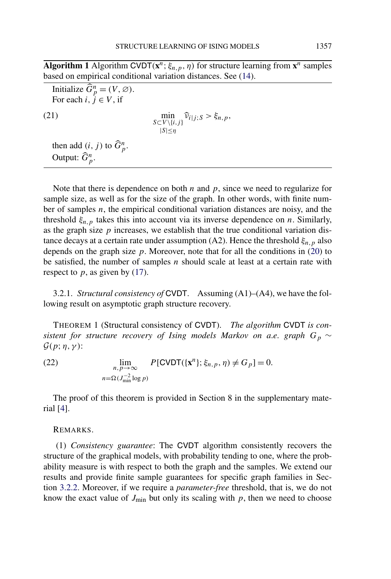<span id="page-11-0"></span>**Algorithm 1** Algorithm CVDT $(\mathbf{x}^n; \xi_{n,p}, \eta)$  for structure learning from  $\mathbf{x}^n$  samples based on empirical conditional variation distances. See [\(14\)](#page-7-0).

Initialize  $\widehat{G}_p^n = (V, \varnothing)$ . For each  $i, j \in V$ , if (21)  $\min_{S \subset V \setminus \{i,j\}} \hat{v}_{i|j;S} > \xi_{n,p},$ |*S*|≤*η* then add  $(i, j)$  to  $\widehat{G}_p^n$ . Output:  $\widehat{G}_{p}^{n}.$ 

Note that there is dependence on both *n* and *p*, since we need to regularize for sample size, as well as for the size of the graph. In other words, with finite number of samples *n*, the empirical conditional variation distances are noisy, and the threshold  $\xi_{n,p}$  takes this into account via its inverse dependence on *n*. Similarly, as the graph size  $p$  increases, we establish that the true conditional variation distance decays at a certain rate under assumption (A2). Hence the threshold  $\xi_{n,p}$  also depends on the graph size  $p$ . Moreover, note that for all the conditions in  $(20)$  to be satisfied, the number of samples *n* should scale at least at a certain rate with respect to  $p$ , as given by [\(17\)](#page-9-0).

3.2.1. *Structural consistency of* CVDT. Assuming (A1)–(A4), we have the following result on asymptotic graph structure recovery.

THEOREM 1 (Structural consistency of CVDT). *The algorithm* CVDT *is consistent for structure recovery of Ising models Markov on a.e. graph*  $G_p \sim$ G*(p*; *η, γ )*:

(22) 
$$
\lim_{n,p \to \infty} P[\text{CVDT}(\{\mathbf{x}^n\}; \xi_{n,p}, \eta) \neq G_p] = 0.
$$

$$
n = \Omega(J_{\min}^{-2} \log p)
$$

The proof of this theorem is provided in Section 8 in the supplementary material [\[4\]](#page-26-0).

#### REMARKS.

(1) *Consistency guarantee*: The CVDT algorithm consistently recovers the structure of the graphical models, with probability tending to one, where the probability measure is with respect to both the graph and the samples. We extend our results and provide finite sample guarantees for specific graph families in Section [3.2.2.](#page-12-0) Moreover, if we require a *parameter-free* threshold, that is, we do not know the exact value of  $J_{\text{min}}$  but only its scaling with  $p$ , then we need to choose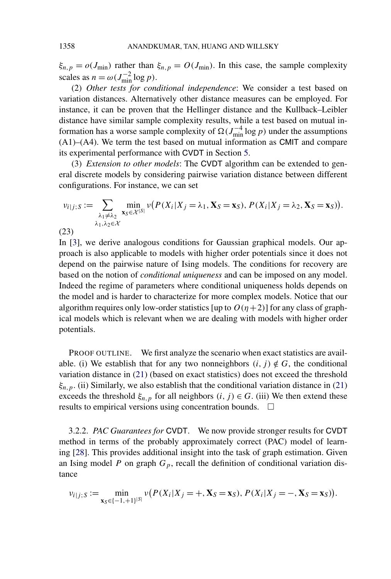$\xi_{n,p} = o(J_{\text{min}})$  rather than  $\xi_{n,p} = O(J_{\text{min}})$ . In this case, the sample complexity scales as  $n = \omega(J_{\text{min}}^{-2} \log p)$ .

(2) *Other tests for conditional independence*: We consider a test based on variation distances. Alternatively other distance measures can be employed. For instance, it can be proven that the Hellinger distance and the Kullback–Leibler distance have similar sample complexity results, while a test based on mutual information has a worse sample complexity of  $\Omega(J_{\text{min}}^{-4} \log p)$  under the assumptions (A1)–(A4). We term the test based on mutual information as CMIT and compare its experimental performance with CVDT in Section [5.](#page-23-0)

(3) *Extension to other models*: The CVDT algorithm can be extended to general discrete models by considering pairwise variation distance between different configurations. For instance, we can set

$$
v_{i|j;S} := \sum_{\substack{\lambda_1 \neq \lambda_2 \\ \lambda_1, \lambda_2 \in \mathcal{X}}} \min_{\mathbf{x}_S \in \mathcal{X}^{|S|}} v(P(X_i | X_j = \lambda_1, \mathbf{X}_S = \mathbf{x}_S), P(X_i | X_j = \lambda_2, \mathbf{X}_S = \mathbf{x}_S)).
$$

(23)

In [\[3\]](#page-26-0), we derive analogous conditions for Gaussian graphical models. Our approach is also applicable to models with higher order potentials since it does not depend on the pairwise nature of Ising models. The conditions for recovery are based on the notion of *conditional uniqueness* and can be imposed on any model. Indeed the regime of parameters where conditional uniqueness holds depends on the model and is harder to characterize for more complex models. Notice that our algorithm requires only low-order statistics [up to  $O(\eta+2)$ ] for any class of graphical models which is relevant when we are dealing with models with higher order potentials.

PROOF OUTLINE. We first analyze the scenario when exact statistics are available. (i) We establish that for any two nonneighbors  $(i, j) \notin G$ , the conditional variation distance in [\(21\)](#page-11-0) (based on exact statistics) does not exceed the threshold  $\xi_{n,p}$ . (ii) Similarly, we also establish that the conditional variation distance in [\(21\)](#page-11-0) exceeds the threshold  $\xi_{n,p}$  for all neighbors  $(i, j) \in G$ . (iii) We then extend these results to empirical versions using concentration bounds.  $\Box$ 

3.2.2. *PAC Guarantees for* CVDT. We now provide stronger results for CVDT method in terms of the probably approximately correct (PAC) model of learning [\[28\]](#page-28-0). This provides additional insight into the task of graph estimation. Given an Ising model *P* on graph  $G_p$ , recall the definition of conditional variation distance

$$
v_{i|j;S} := \min_{\mathbf{x}_S \in \{-1, +1\}^{|S|}} v(P(X_i|X_j = +, \mathbf{X}_S = \mathbf{x}_S), P(X_i|X_j = -, \mathbf{X}_S = \mathbf{x}_S)).
$$

<span id="page-12-0"></span>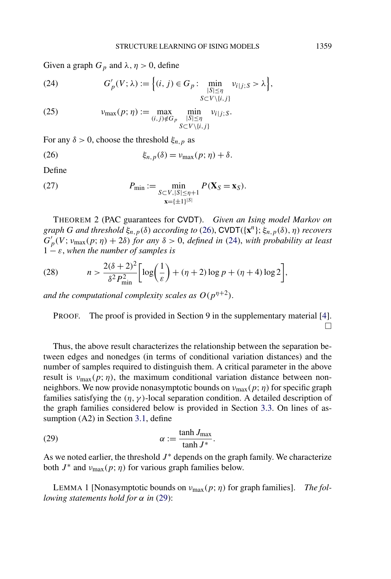<span id="page-13-0"></span>Given a graph  $G_p$  and  $\lambda$ ,  $\eta > 0$ , define

(24) 
$$
G'_{p}(V; \lambda) := \left\{ (i, j) \in G_p : \min_{\substack{|S| \leq \eta \\ S \subset V \setminus \{i, j\}}} v_{i|j; S} > \lambda \right\},\
$$

(25) 
$$
v_{\max}(p; \eta) := \max_{(i,j) \notin G_p} \min_{\substack{|S| \leq \eta \\ S \subset V \setminus \{i,j\}}} v_{i|j;S}.
$$

For any  $\delta > 0$ , choose the threshold  $\xi_{n,p}$  as

(26) 
$$
\xi_{n,p}(\delta) = \nu_{\max}(p;\eta) + \delta.
$$

Define

(27) 
$$
P_{\min} := \min_{\substack{S \subset V, |S| \le \eta + 1 \\ \mathbf{x} = \{\pm 1\}^{|S|}}} P(\mathbf{X}_S = \mathbf{x}_S).
$$

THEOREM 2 (PAC guarantees for CVDT). *Given an Ising model Markov on graph G and threshold ξn,p(δ) according to* (26), CVDT*(*{**x***n*}; *ξn,p(δ), η) recovers*  $G'_{p}(V; v_{\text{max}}(p; \eta) + 2\delta)$  *for any*  $\delta > 0$ , *defined in* (24), *with probability at least*  $1 - \varepsilon$ , when the number of samples is

(28) 
$$
n > \frac{2(\delta + 2)^2}{\delta^2 P_{\min}^2} \bigg[ \log \bigg( \frac{1}{\varepsilon} \bigg) + (\eta + 2) \log p + (\eta + 4) \log 2 \bigg],
$$

*and the computational complexity scales as*  $O(p^{n+2})$ *.* 

PROOF. The proof is provided in Section 9 in the supplementary material [\[4\]](#page-26-0).  $\Box$ 

Thus, the above result characterizes the relationship between the separation between edges and nonedges (in terms of conditional variation distances) and the number of samples required to distinguish them. A critical parameter in the above result is  $v_{\text{max}}(p; \eta)$ , the maximum conditional variation distance between nonneighbors. We now provide nonasymptotic bounds on  $v_{\text{max}}(p; \eta)$  for specific graph families satisfying the  $(\eta, \gamma)$ -local separation condition. A detailed description of the graph families considered below is provided in Section [3.3.](#page-15-0) On lines of assumption (A2) in Section [3.1,](#page-9-0) define

(29) 
$$
\alpha := \frac{\tanh J_{\text{max}}}{\tanh J^*}.
$$

As we noted earlier, the threshold  $J^*$  depends on the graph family. We characterize both  $J^*$  and  $\nu_{\text{max}}(p; \eta)$  for various graph families below.

LEMMA 1 [Nonasymptotic bounds on *ν*max*(p*; *η)* for graph families]. *The following statements hold for α in* (29):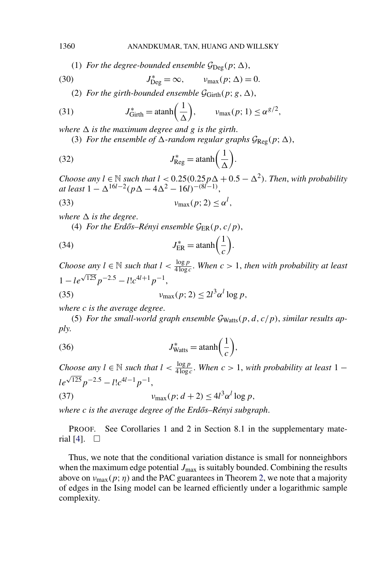(1) *For the degree-bounded ensemble*  $\mathcal{G}_{\text{Deg}}(p; \Delta)$ ,

(30) 
$$
J_{\text{Deg}}^* = \infty, \qquad \nu_{\text{max}}(p; \Delta) = 0.
$$

(2) *For the girth-bounded ensemble*  $\mathcal{G}_{Girth}(p; g, \Delta)$ ,

(31) 
$$
J_{\text{Girth}}^* = \text{atanh}\left(\frac{1}{\Delta}\right), \qquad \nu_{\text{max}}(p; 1) \leq \alpha^{g/2},
$$

*where*  $\Delta$  *is the maximum degree and g is the girth.* 

(3) *For the ensemble of*  $\Delta$ -random regular graphs  $\mathcal{G}_{\text{Reg}}(p; \Delta)$ ,

(32) 
$$
J_{\text{Reg}}^* = \text{atanh}\left(\frac{1}{\Delta}\right).
$$

*Choose any*  $l \in \mathbb{N}$  *such that*  $l < 0.25(0.25p\Delta + 0.5 - \Delta^2)$ *. Then, with probability*  $at$  *least*  $1 - \Delta^{16l-2}(p\Delta - 4\Delta^2 - 16l)^{-(8l-1)}$ ,

$$
v_{\max}(p; 2) \le \alpha^l,
$$

*where*  $\Delta$  *is the degree.* 

(4) For the Erdős–Rényi ensemble  $\mathcal{G}_{ER}(p, c/p)$ ,

(34) 
$$
J_{\text{ER}}^* = \text{atanh}\left(\frac{1}{c}\right).
$$

*Choose any*  $l \in \mathbb{N}$  *such that*  $l < \frac{\log p}{4 \log c}$ . When  $c > 1$ , *then with probability at least*  $1 - le^{\sqrt{125}} p^{-2.5} - l! c^{4l+1} p^{-1},$ 

(35) 
$$
v_{\max}(p; 2) \leq 2l^3 \alpha^l \log p,
$$

*where c is the average degree*.

(5) For the small-world graph ensemble  $\mathcal{G}_{Watts}(p, d, c/p)$ , similar results ap*ply*.

(36) 
$$
J_{\text{Watts}}^* = \text{atanh}\left(\frac{1}{c}\right),
$$

*Choose any*  $l \in \mathbb{N}$  *such that*  $l < \frac{\log p}{4 \log c}$ . *When*  $c > 1$ *, with probability at least* 1 −  $le^{\sqrt{125}} p^{-2.5} - l! c^{4l-1} p^{-1}$ ,

$$
v_{\text{max}}(p; d+2) \le 4l^3 \alpha^l \log p,
$$

*where c is the average degree of the Erdős–Rényi subgraph.* 

PROOF. See Corollaries 1 and 2 in Section 8.1 in the supplementary mate-rial [\[4\]](#page-26-0).  $\Box$ 

Thus, we note that the conditional variation distance is small for nonneighbors when the maximum edge potential  $J_{\text{max}}$  is suitably bounded. Combining the results above on  $v_{\text{max}}(p; \eta)$  and the PAC guarantees in Theorem [2,](#page-13-0) we note that a majority of edges in the Ising model can be learned efficiently under a logarithmic sample complexity.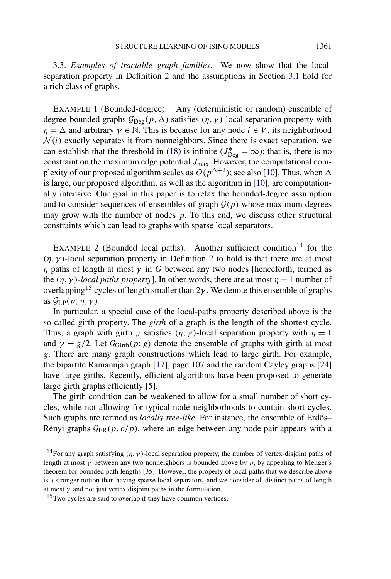<span id="page-15-0"></span>3.3. *Examples of tractable graph families*. We now show that the localseparation property in Definition [2](#page-8-0) and the assumptions in Section [3.1](#page-9-0) hold for a rich class of graphs.

EXAMPLE 1 (Bounded-degree). Any (deterministic or random) ensemble of degree-bounded graphs  $G_{\text{Deg}}(p, \Delta)$  satisfies  $(\eta, \gamma)$ -local separation property with *η* =  $\Delta$  and arbitrary  $\gamma \in \mathbb{N}$ . This is because for any node  $i \in V$ , its neighborhood  $\mathcal{N}(i)$  exactly separates it from nonneighbors. Since there is exact separation, we can establish that the threshold in [\(18\)](#page-9-0) is infinite ( $J_{\text{Deg}}^* = \infty$ ); that is, there is no constraint on the maximum edge potential  $J_{\text{max}}$ . However, the computational complexity of our proposed algorithm scales as  $O(p^{\Delta+2})$ ; see also [\[10\]](#page-27-0). Thus, when  $\Delta$ is large, our proposed algorithm, as well as the algorithm in [\[10\]](#page-27-0), are computationally intensive. Our goal in this paper is to relax the bounded-degree assumption and to consider sequences of ensembles of graph  $G(p)$  whose maximum degrees may grow with the number of nodes *p*. To this end, we discuss other structural constraints which can lead to graphs with sparse local separators.

EXAMPLE 2 (Bounded local paths). Another sufficient condition<sup>14</sup> for the  $(\eta, \gamma)$ -local separation property in Definition [2](#page-8-0) to hold is that there are at most *η* paths of length at most *γ* in *G* between any two nodes [henceforth, termed as the  $(\eta, \gamma)$ -*local paths property*]. In other words, there are at most  $\eta - 1$  number of overlapping<sup>15</sup> cycles of length smaller than  $2\gamma$ . We denote this ensemble of graphs as  $G_{\text{LP}}(p; \eta, \gamma)$ .

In particular, a special case of the local-paths property described above is the so-called girth property. The *girth* of a graph is the length of the shortest cycle. Thus, a graph with girth *g* satisfies  $(\eta, \gamma)$ -local separation property with  $\eta = 1$ and  $\gamma = g/2$ . Let  $\mathcal{G}_{Girth}(p; g)$  denote the ensemble of graphs with girth at most *g*. There are many graph constructions which lead to large girth. For example, the bipartite Ramanujan graph [\[17\]](#page-27-0), page 107 and the random Cayley graphs [\[24\]](#page-27-0) have large girths. Recently, efficient algorithms have been proposed to generate large girth graphs efficiently [\[5\]](#page-27-0).

The girth condition can be weakened to allow for a small number of short cycles, while not allowing for typical node neighborhoods to contain short cycles. Such graphs are termed as *locally tree-like*. For instance, the ensemble of Erdős– Rényi graphs  $G_{FR}(p, c/p)$ , where an edge between any node pair appears with a

<sup>&</sup>lt;sup>14</sup>For any graph satisfying  $(\eta, \gamma)$ -local separation property, the number of vertex-disjoint paths of length at most  $\gamma$  between any two nonneighbors is bounded above by  $\eta$ , by appealing to Menger's theorem for bounded path lengths [\[35\]](#page-28-0). However, the property of local paths that we describe above is a stronger notion than having sparse local separators, and we consider all distinct paths of length at most  $\gamma$  and not just vertex disjoint paths in the formulation.

<sup>&</sup>lt;sup>15</sup>Two cycles are said to overlap if they have common vertices.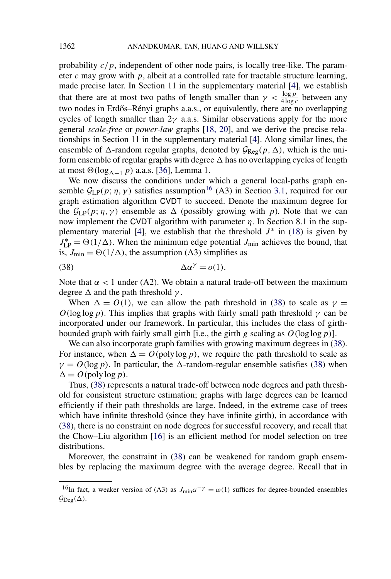probability  $c/p$ , independent of other node pairs, is locally tree-like. The parameter  $c$  may grow with  $p$ , albeit at a controlled rate for tractable structure learning, made precise later. In Section 11 in the supplementary material [\[4\]](#page-26-0), we establish that there are at most two paths of length smaller than  $\gamma < \frac{\log p}{4 \log c}$  between any two nodes in Erdős–Rényi graphs a.a.s., or equivalently, there are no overlapping cycles of length smaller than  $2\gamma$  a.a.s. Similar observations apply for the more general *scale-free* or *power-law* graphs [\[18, 20\]](#page-27-0), and we derive the precise relationships in Section 11 in the supplementary material [\[4\]](#page-26-0). Along similar lines, the ensemble of  $\Delta$ -random regular graphs, denoted by  $\mathcal{G}_{\text{Reg}}(p, \Delta)$ , which is the uniform ensemble of regular graphs with degree  $\Delta$  has no overlapping cycles of length at most  $\Theta(\log_{\Delta-1} p)$  a.a.s. [\[36\]](#page-28-0), Lemma 1.

We now discuss the conditions under which a general local-paths graph ensemble  $\mathcal{G}_{LP}(p; \eta, \gamma)$  satisfies assumption<sup>16</sup> (A3) in Section [3.1,](#page-9-0) required for our graph estimation algorithm CVDT to succeed. Denote the maximum degree for the  $G_{LP}(p; \eta, \gamma)$  ensemble as  $\Delta$  (possibly growing with *p*). Note that we can now implement the CVDT algorithm with parameter *η*. In Section 8.1 in the sup-plementary material [\[4\]](#page-26-0), we establish that the threshold  $J^*$  in [\(18\)](#page-9-0) is given by  $J_{\text{LP}}^* = \Theta(1/\Delta)$ . When the minimum edge potential  $J_{\text{min}}$  achieves the bound, that is,  $J_{\text{min}} = \Theta(1/\Delta)$ , the assumption (A3) simplifies as

$$
\Delta \alpha^{\gamma} = o(1).
$$

Note that  $\alpha$  < 1 under (A2). We obtain a natural trade-off between the maximum degree  $\Delta$  and the path threshold  $\gamma$ .

When  $\Delta = O(1)$ , we can allow the path threshold in (38) to scale as  $\gamma =$ *O*(log log *p*). This implies that graphs with fairly small path threshold  $\gamma$  can be incorporated under our framework. In particular, this includes the class of girthbounded graph with fairly small girth [i.e., the girth *g* scaling as *O(*log log*p)*].

We can also incorporate graph families with growing maximum degrees in (38). For instance, when  $\Delta = O(poly log p)$ , we require the path threshold to scale as  $\gamma = O(\log p)$ . In particular, the  $\Delta$ -random-regular ensemble satisfies (38) when  $\Delta = O(poly log p)$ .

Thus, (38) represents a natural trade-off between node degrees and path threshold for consistent structure estimation; graphs with large degrees can be learned efficiently if their path thresholds are large. Indeed, in the extreme case of trees which have infinite threshold (since they have infinite girth), in accordance with (38), there is no constraint on node degrees for successful recovery, and recall that the Chow–Liu algorithm [\[16\]](#page-27-0) is an efficient method for model selection on tree distributions.

Moreover, the constraint in (38) can be weakened for random graph ensembles by replacing the maximum degree with the average degree. Recall that in

<sup>&</sup>lt;sup>16</sup>In fact, a weaker version of (A3) as  $J_{\text{min}}\alpha^{-\gamma} = \omega(1)$  suffices for degree-bounded ensembles  $\mathcal{G}_{\text{Deg}}(\Delta)$ .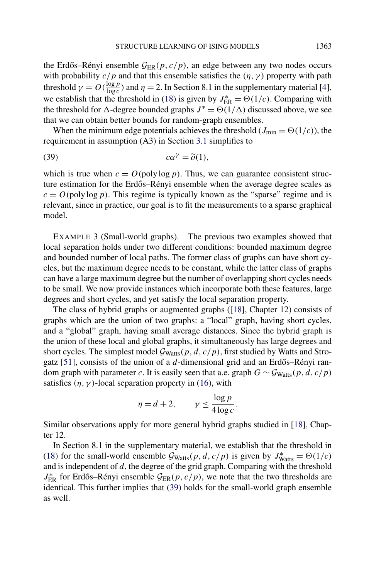the Erdős–Rényi ensemble  $\mathcal{G}_{ER}(p, c/p)$ , an edge between any two nodes occurs with probability  $c/p$  and that this ensemble satisfies the  $(\eta, \gamma)$  property with path threshold  $\gamma = O(\frac{\log p}{\log c})$  and  $\eta = 2$ . In Section 8.1 in the supplementary material [\[4\]](#page-26-0), we establish that the threshold in [\(18\)](#page-9-0) is given by  $J_{\text{ER}}^* = \Theta(1/c)$ . Comparing with the threshold for  $\Delta$ -degree bounded graphs  $J^* = \Theta(1/\Delta)$  discussed above, we see that we can obtain better bounds for random-graph ensembles.

When the minimum edge potentials achieves the threshold ( $J_{\text{min}} = \Theta(1/c)$ ), the requirement in assumption (A3) in Section [3.1](#page-9-0) simplifies to

$$
(39) \t\t c\alpha^{\gamma} = \tilde{o}(1),
$$

which is true when  $c = O(\text{poly} \log p)$ . Thus, we can guarantee consistent structure estimation for the Erdős–Rényi ensemble when the average degree scales as  $c = O(poly log p)$ . This regime is typically known as the "sparse" regime and is relevant, since in practice, our goal is to fit the measurements to a sparse graphical model.

EXAMPLE 3 (Small-world graphs). The previous two examples showed that local separation holds under two different conditions: bounded maximum degree and bounded number of local paths. The former class of graphs can have short cycles, but the maximum degree needs to be constant, while the latter class of graphs can have a large maximum degree but the number of overlapping short cycles needs to be small. We now provide instances which incorporate both these features, large degrees and short cycles, and yet satisfy the local separation property.

The class of hybrid graphs or augmented graphs ([\[18\]](#page-27-0), Chapter 12) consists of graphs which are the union of two graphs: a "local" graph, having short cycles, and a "global" graph, having small average distances. Since the hybrid graph is the union of these local and global graphs, it simultaneously has large degrees and short cycles. The simplest model  $\mathcal{G}_{Watts}(p, d, c/p)$ , first studied by Watts and Strogatz  $[51]$ , consists of the union of a  $d$ -dimensional grid and an Erdős–Rényi random graph with parameter *c*. It is easily seen that a.e. graph  $G \sim \mathcal{G}_{Watts}(p, d, c/p)$ satisfies  $(\eta, \gamma)$ -local separation property in [\(16\)](#page-8-0), with

$$
\eta = d + 2, \qquad \gamma \le \frac{\log p}{4 \log c}.
$$

Similar observations apply for more general hybrid graphs studied in [\[18\]](#page-27-0), Chapter 12.

In Section 8.1 in the supplementary material, we establish that the threshold in [\(18\)](#page-9-0) for the small-world ensemble  $G_{Watts}(p, d, c/p)$  is given by  $J_{Watts}^* = \Theta(1/c)$ and is independent of *d*, the degree of the grid graph. Comparing with the threshold  $J_{\text{ER}}^{*}$  for Erdős–Rényi ensemble  $\mathcal{G}_{\text{ER}}(p, c/p)$ , we note that the two thresholds are identical. This further implies that (39) holds for the small-world graph ensemble as well.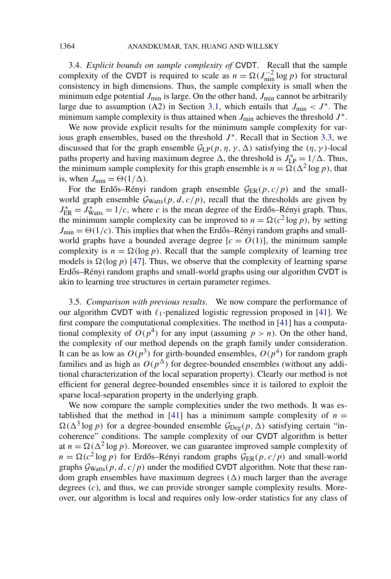<span id="page-18-0"></span>3.4. *Explicit bounds on sample complexity of* CVDT. Recall that the sample complexity of the CVDT is required to scale as  $n = \Omega(J_{\text{min}}^{-2} \log p)$  for structural consistency in high dimensions. Thus, the sample complexity is small when the minimum edge potential  $J_{\text{min}}$  is large. On the other hand,  $J_{\text{min}}$  cannot be arbitrarily large due to assumption (A2) in Section [3.1,](#page-9-0) which entails that  $J_{\text{min}} < J^*$ . The minimum sample complexity is thus attained when  $J_{\text{min}}$  achieves the threshold  $J^*$ .

We now provide explicit results for the minimum sample complexity for various graph ensembles, based on the threshold  $J^*$ . Recall that in Section [3.3,](#page-15-0) we discussed that for the graph ensemble  $G_{LP}(p, \eta, \gamma, \Delta)$  satisfying the  $(\eta, \gamma)$ -local paths property and having maximum degree  $\Delta$ , the threshold is  $J_{LP}^* = 1/\Delta$ . Thus, the minimum sample complexity for this graph ensemble is  $n = \Omega(\Delta^2 \log p)$ , that is, when  $J_{\min} = \Theta(1/\Delta)$ .

For the Erdős–Rényi random graph ensemble  $\mathcal{G}_{ER}(p, c/p)$  and the smallworld graph ensemble  $G_{Watts}(p, d, c/p)$ , recall that the thresholds are given by  $J_{\text{ER}}^* = J_{\text{Watts}}^* = 1/c$ , where *c* is the mean degree of the Erdős–Rényi graph. Thus, the minimum sample complexity can be improved to  $n = \Omega(c^2 \log p)$ , by setting  $J_{\text{min}} = \Theta(1/c)$ . This implies that when the Erdős–Rényi random graphs and smallworld graphs have a bounded average degree  $[c = O(1)]$ , the minimum sample complexity is  $n = \Omega(\log p)$ . Recall that the sample complexity of learning tree models is  $\Omega(\log p)$  [\[47\]](#page-29-0). Thus, we observe that the complexity of learning sparse Erdős–Rényi random graphs and small-world graphs using our algorithm CVDT is akin to learning tree structures in certain parameter regimes.

3.5. *Comparison with previous results*. We now compare the performance of our algorithm CVDT with  $\ell_1$ -penalized logistic regression proposed in [\[41\]](#page-28-0). We first compare the computational complexities. The method in [\[41\]](#page-28-0) has a computational complexity of  $O(p^4)$  for any input (assuming  $p > n$ ). On the other hand, the complexity of our method depends on the graph family under consideration. It can be as low as  $O(p^3)$  for girth-bounded ensembles,  $O(p^4)$  for random graph families and as high as  $O(p^{\Delta})$  for degree-bounded ensembles (without any additional characterization of the local separation property). Clearly our method is not efficient for general degree-bounded ensembles since it is tailored to exploit the sparse local-separation property in the underlying graph.

We now compare the sample complexities under the two methods. It was es-tablished that the method in [\[41\]](#page-28-0) has a minimum sample complexity of  $n =$  $\Omega(\Delta^3 \log p)$  for a degree-bounded ensemble  $\mathcal{G}_{\text{Deg}}(p, \Delta)$  satisfying certain "incoherence" conditions. The sample complexity of our CVDT algorithm is better at  $n = \Omega(\Delta^2 \log p)$ . Moreover, we can guarantee improved sample complexity of  $n = \Omega(c^2 \log p)$  for Erdős–Rényi random graphs  $\mathcal{G}_{ER}(p, c/p)$  and small-world graphs  $G_{Watts}(p, d, c/p)$  under the modified CVDT algorithm. Note that these random graph ensembles have maximum degrees  $(\Delta)$  much larger than the average degrees (*c*), and thus, we can provide stronger sample complexity results. Moreover, our algorithm is local and requires only low-order statistics for any class of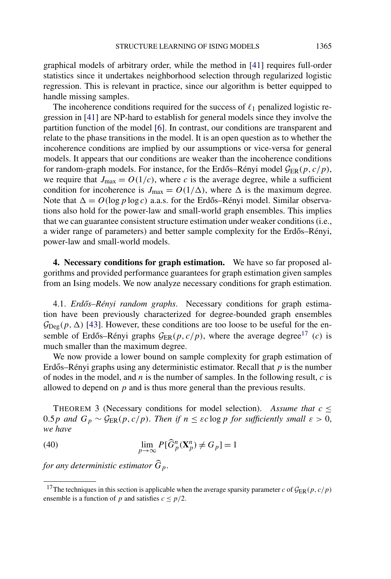<span id="page-19-0"></span>graphical models of arbitrary order, while the method in [\[41\]](#page-28-0) requires full-order statistics since it undertakes neighborhood selection through regularized logistic regression. This is relevant in practice, since our algorithm is better equipped to handle missing samples.

The incoherence conditions required for the success of  $\ell_1$  penalized logistic regression in [\[41\]](#page-28-0) are NP-hard to establish for general models since they involve the partition function of the model [\[6\]](#page-27-0). In contrast, our conditions are transparent and relate to the phase transitions in the model. It is an open question as to whether the incoherence conditions are implied by our assumptions or vice-versa for general models. It appears that our conditions are weaker than the incoherence conditions for random-graph models. For instance, for the Erdős–Rényi model  $\mathcal{G}_{ER}(p, c/p)$ , we require that  $J_{\text{max}} = O(1/c)$ , where *c* is the average degree, while a sufficient condition for incoherence is  $J_{\text{max}} = O(1/\Delta)$ , where  $\Delta$  is the maximum degree. Note that  $\Delta = O(\log p \log c)$  a.a.s. for the Erdős–Rényi model. Similar observations also hold for the power-law and small-world graph ensembles. This implies that we can guarantee consistent structure estimation under weaker conditions (i.e., a wider range of parameters) and better sample complexity for the Erdős–Rényi, power-law and small-world models.

**4. Necessary conditions for graph estimation.** We have so far proposed algorithms and provided performance guarantees for graph estimation given samples from an Ising models. We now analyze necessary conditions for graph estimation.

4.1. *Erd˝os–Rényi random graphs*. Necessary conditions for graph estimation have been previously characterized for degree-bounded graph ensembles  $\mathcal{G}_{\text{Deg}}(p, \Delta)$  [\[43\]](#page-28-0). However, these conditions are too loose to be useful for the ensemble of Erdős–Rényi graphs  $\mathcal{G}_{ER}(p, c/p)$ , where the average degree<sup>17</sup> *(c)* is much smaller than the maximum degree.

We now provide a lower bound on sample complexity for graph estimation of Erdős–Rényi graphs using any deterministic estimator. Recall that  $p$  is the number of nodes in the model, and *n* is the number of samples. In the following result, *c* is allowed to depend on *p* and is thus more general than the previous results.

THEOREM 3 (Necessary conditions for model selection). Assume that  $c \leq$ 0.5*p* and  $G_p \sim \mathcal{G}_{ER}(p, c/p)$ . Then if  $n \leq \varepsilon c \log p$  for sufficiently small  $\varepsilon > 0$ , *we have*

(40) 
$$
\lim_{p \to \infty} P[\widehat{G}_p^n(\mathbf{X}_p^n) \neq G_p] = 1
$$

*for any deterministic estimator Gp*.

<sup>&</sup>lt;sup>17</sup>The techniques in this section is applicable when the average sparsity parameter *c* of  $\mathcal{G}_{ER}(p, c/p)$ ensemble is a function of *p* and satisfies  $c \leq p/2$ .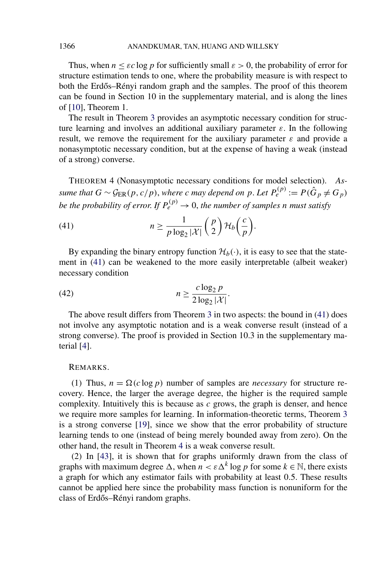Thus, when  $n \leq \varepsilon c \log p$  for sufficiently small  $\varepsilon > 0$ , the probability of error for structure estimation tends to one, where the probability measure is with respect to both the Erdős–Rényi random graph and the samples. The proof of this theorem can be found in Section 10 in the supplementary material, and is along the lines of [\[10\]](#page-27-0), Theorem 1.

The result in Theorem [3](#page-19-0) provides an asymptotic necessary condition for structure learning and involves an additional auxiliary parameter *ε*. In the following result, we remove the requirement for the auxiliary parameter  $\varepsilon$  and provide a nonasymptotic necessary condition, but at the expense of having a weak (instead of a strong) converse.

THEOREM 4 (Nonasymptotic necessary conditions for model selection). *Assume that*  $G \sim \mathcal{G}_{ER}(p, c/p)$ , *where c may depend on*  $p$ . Let  $P_e^{(p)} := P(\hat{G}_p \neq G_p)$ *be the probability of error. If*  $P_e^{(p)} \rightarrow 0$ , *the number of samples n must satisfy* 

(41) 
$$
n \geq \frac{1}{p \log_2 |\mathcal{X}|} {p \choose 2} \mathcal{H}_b \left( \frac{c}{p} \right).
$$

By expanding the binary entropy function  $\mathcal{H}_b(\cdot)$ , it is easy to see that the statement in (41) can be weakened to the more easily interpretable (albeit weaker) necessary condition

$$
(42) \t\t\t n \ge \frac{c \log_2 p}{2 \log_2 |\mathcal{X}|}.
$$

The above result differs from Theorem [3](#page-19-0) in two aspects: the bound in (41) does not involve any asymptotic notation and is a weak converse result (instead of a strong converse). The proof is provided in Section 10.3 in the supplementary material [\[4\]](#page-26-0).

## REMARKS.

(1) Thus,  $n = \Omega(c \log p)$  number of samples are *necessary* for structure recovery. Hence, the larger the average degree, the higher is the required sample complexity. Intuitively this is because as  $c$  grows, the graph is denser, and hence we require more samples for learning. In information-theoretic terms, Theorem [3](#page-19-0) is a strong converse [\[19\]](#page-27-0), since we show that the error probability of structure learning tends to one (instead of being merely bounded away from zero). On the other hand, the result in Theorem 4 is a weak converse result.

(2) In [\[43\]](#page-28-0), it is shown that for graphs uniformly drawn from the class of graphs with maximum degree  $\Delta$ , when  $n < \varepsilon \Delta^k \log p$  for some  $k \in \mathbb{N}$ , there exists a graph for which any estimator fails with probability at least 0*.*5. These results cannot be applied here since the probability mass function is nonuniform for the class of Erdős–Rényi random graphs.

<span id="page-20-0"></span>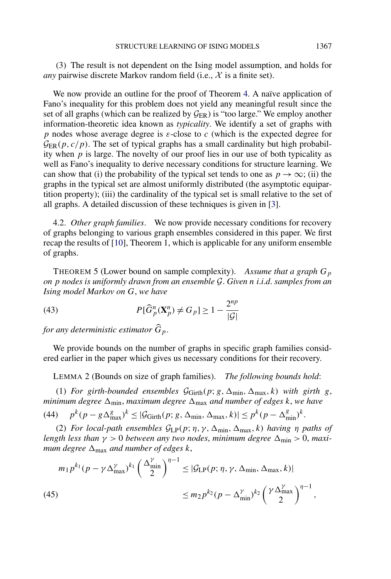<span id="page-21-0"></span>(3) The result is not dependent on the Ising model assumption, and holds for *any* pairwise discrete Markov random field (i.e.,  $X$  is a finite set).

We now provide an outline for the proof of Theorem [4.](#page-20-0) A naïve application of Fano's inequality for this problem does not yield any meaningful result since the set of all graphs (which can be realized by  $G_{ER}$ ) is "too large." We employ another information-theoretic idea known as *typicality*. We identify a set of graphs with *p* nodes whose average degree is *ε*-close to *c* (which is the expected degree for  $\mathcal{G}_{FR}(p, c/p)$ . The set of typical graphs has a small cardinality but high probability when *p* is large. The novelty of our proof lies in our use of both typicality as well as Fano's inequality to derive necessary conditions for structure learning. We can show that (i) the probability of the typical set tends to one as  $p \to \infty$ ; (ii) the graphs in the typical set are almost uniformly distributed (the asymptotic equipartition property); (iii) the cardinality of the typical set is small relative to the set of all graphs. A detailed discussion of these techniques is given in [\[3\]](#page-26-0).

4.2. *Other graph families*. We now provide necessary conditions for recovery of graphs belonging to various graph ensembles considered in this paper. We first recap the results of [\[10\]](#page-27-0), Theorem 1, which is applicable for any uniform ensemble of graphs.

THEOREM 5 (Lower bound on sample complexity). *Assume that a graph Gp on p nodes is uniformly drawn from an ensemble* G. *Given n i*.*i*.*d*. *samples from an Ising model Markov on G*, *we have*

(43) 
$$
P[\widehat{G}_p^n(\mathbf{X}_p^n) \neq G_p] \geq 1 - \frac{2^{np}}{|\mathcal{G}|}
$$

*for any deterministic estimator Gp*.

We provide bounds on the number of graphs in specific graph families considered earlier in the paper which gives us necessary conditions for their recovery.

LEMMA 2 (Bounds on size of graph families). *The following bounds hold*:

(1) *For girth-bounded ensembles*  $\mathcal{G}_{Girth}(p; g, \Delta_{min}, \Delta_{max}, k)$  *with girth g*, *minimum degree*  $\Delta_{\text{min}}$ *, maximum degree*  $\Delta_{\text{max}}$  *and number of edges k, we have*  $p^k(p - g\Delta_{\text{max}}^g)^k \leq |\mathcal{G}_{\text{Girth}}(p; g, \Delta_{\text{min}}, \Delta_{\text{max}}, k)| \leq p^k(p - \Delta_{\text{min}}^g)^k.$ 

(2) *For local-path ensembles*  $G_{LP}(p; \eta, \gamma, \Delta_{min}, \Delta_{max}, k)$  *having η paths of length less than*  $\gamma > 0$  *between any two nodes, minimum degree*  $\Delta_{\text{min}} > 0$ *, maximum degree*  $\Delta_{\text{max}}$  *and number of edges k*,

$$
m_1 p^{k_1} (p - \gamma \Delta_{\max}^{\gamma})^{k_1} \left(\frac{\Delta_{\min}^{\gamma}}{2}\right)^{\eta - 1} \leq |\mathcal{G}_{\mathrm{LP}}(p; \eta, \gamma, \Delta_{\min}, \Delta_{\max}, k)|
$$
  
(45) 
$$
\leq m_2 p^{k_2} (p - \Delta_{\min}^{\gamma})^{k_2} \left(\frac{\gamma \Delta_{\max}^{\gamma}}{2}\right)^{\eta - 1},
$$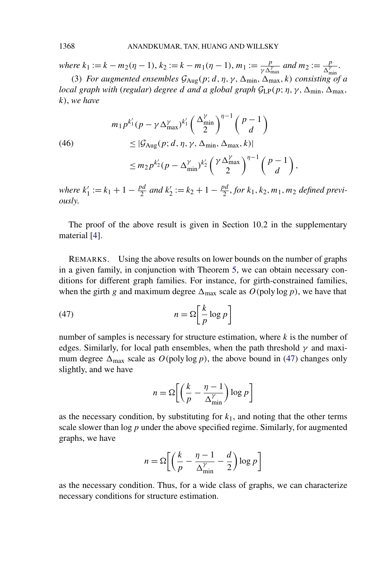*where*  $k_1 := k - m_2(\eta - 1)$ ,  $k_2 := k - m_1(\eta - 1)$ ,  $m_1 := \frac{p}{\gamma \Delta_{\text{max}}^{\gamma}}$  and  $m_2 := \frac{p}{\Delta_{\text{min}}^{\gamma}}$ .

(3) *For augmented ensembles*  $G_{\text{Aug}}(p; d, \eta, \gamma, \Delta_{\text{min}}, \Delta_{\text{max}}, k)$  *consisting of a local graph with (regular) degree d and a global graph*  $G_{LP}(p; \eta, \gamma, \Delta_{min}, \Delta_{max},$ *k)*, *we have*

(46)  
\n
$$
m_1 p^{k'_1} (p - \gamma \Delta_{\max}^{\gamma} )^{k'_1} {\left(\frac{\Delta_{\min}^{\gamma}}{2}\right)}^{n-1} {\left(\frac{p-1}{d}\right)}
$$
\n
$$
\leq |\mathcal{G}_{\text{Aug}}(p; d, \eta, \gamma, \Delta_{\min}, \Delta_{\max}, k)|
$$
\n
$$
\leq m_2 p^{k'_2} (p - \Delta_{\min}^{\gamma})^{k'_2} {\left(\frac{\gamma \Delta_{\max}^{\gamma}}{2}\right)}^{n-1} {\left(\frac{p-1}{d}\right)}
$$

*where*  $k'_1 := k_1 + 1 - \frac{pd}{2}$  and  $k'_2 := k_2 + 1 - \frac{pd}{2}$ , for  $k_1, k_2, m_1, m_2$  defined previ*ously*.

*,*

The proof of the above result is given in Section 10.2 in the supplementary material [\[4\]](#page-26-0).

REMARKS. Using the above results on lower bounds on the number of graphs in a given family, in conjunction with Theorem [5,](#page-21-0) we can obtain necessary conditions for different graph families. For instance, for girth-constrained families, when the girth *g* and maximum degree  $\Delta_{\text{max}}$  scale as  $O(\text{poly}\log p)$ , we have that

$$
(47) \t\t n = \Omega \left[ \frac{k}{p} \log p \right]
$$

number of samples is necessary for structure estimation, where *k* is the number of edges. Similarly, for local path ensembles, when the path threshold  $\gamma$  and maximum degree  $\Delta_{\text{max}}$  scale as  $O(\text{poly} \log p)$ , the above bound in (47) changes only slightly, and we have

$$
n = \Omega \left[ \left( \frac{k}{p} - \frac{\eta - 1}{\Delta_{\min}^{\gamma}} \right) \log p \right]
$$

as the necessary condition, by substituting for  $k_1$ , and noting that the other terms scale slower than log*p* under the above specified regime. Similarly, for augmented graphs, we have

$$
n = \Omega \left[ \left( \frac{k}{p} - \frac{\eta - 1}{\Delta_{\min}^{\gamma}} - \frac{d}{2} \right) \log p \right]
$$

as the necessary condition. Thus, for a wide class of graphs, we can characterize necessary conditions for structure estimation.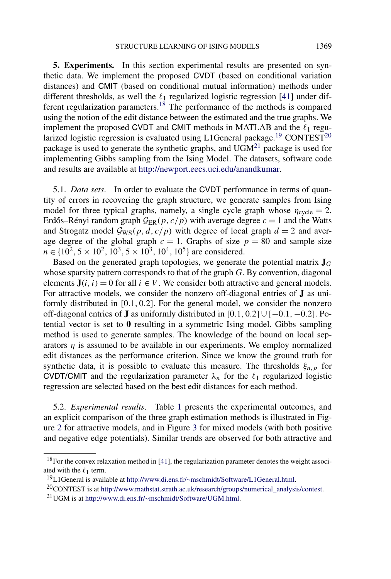<span id="page-23-0"></span>**5. Experiments.** In this section experimental results are presented on synthetic data. We implement the proposed CVDT (based on conditional variation distances) and CMIT (based on conditional mutual information) methods under different thresholds, as well the  $\ell_1$  regularized logistic regression [\[41\]](#page-28-0) under different regularization parameters.18 The performance of the methods is compared using the notion of the edit distance between the estimated and the true graphs. We implement the proposed CVDT and CMIT methods in MATLAB and the  $\ell_1$  regularized logistic regression is evaluated using L1General package.<sup>19</sup> CONTEST<sup>20</sup> package is used to generate the synthetic graphs, and  $UGM<sup>21</sup>$  package is used for implementing Gibbs sampling from the Ising Model. The datasets, software code and results are available at [http://newport.eecs.uci.edu/anandkumar.](http://newport.eecs.uci.edu/anandkumar)

5.1. *Data sets*. In order to evaluate the CVDT performance in terms of quantity of errors in recovering the graph structure, we generate samples from Ising model for three typical graphs, namely, a single cycle graph whose  $\eta_{\text{cycle}} = 2$ , Erdős–Rényi random graph  $\mathcal{G}_{ER}(p, c/p)$  with average degree  $c = 1$  and the Watts and Strogatz model  $G_{\text{WS}}(p, d, c/p)$  with degree of local graph  $d = 2$  and average degree of the global graph  $c = 1$ . Graphs of size  $p = 80$  and sample size  $n \in \{10^2, 5 \times 10^2, 10^3, 5 \times 10^3, 10^4, 10^5\}$  are considered.

Based on the generated graph topologies, we generate the potential matrix  $\mathbf{J}_G$ whose sparsity pattern corresponds to that of the graph *G*. By convention, diagonal elements  $J(i, i) = 0$  for all  $i \in V$ . We consider both attractive and general models. For attractive models, we consider the nonzero off-diagonal entries of **J** as uniformly distributed in [0*.*1*,* 0*.*2]. For the general model, we consider the nonzero off-diagonal entries of **J** as uniformly distributed in [0*.*1*,* 0*.*2] ∪ [−0*.*1*,*−0*.*2]. Potential vector is set to **0** resulting in a symmetric Ising model. Gibbs sampling method is used to generate samples. The knowledge of the bound on local separators  $\eta$  is assumed to be available in our experiments. We employ normalized edit distances as the performance criterion. Since we know the ground truth for synthetic data, it is possible to evaluate this measure. The thresholds  $\xi_{n,p}$  for CVDT/CMIT and the regularization parameter  $\lambda_n$  for the  $\ell_1$  regularized logistic regression are selected based on the best edit distances for each method.

5.2. *Experimental results*. Table [1](#page-24-0) presents the experimental outcomes, and an explicit comparison of the three graph estimation methods is illustrated in Figure [2](#page-25-0) for attractive models, and in Figure [3](#page-26-0) for mixed models (with both positive and negative edge potentials). Similar trends are observed for both attractive and

<sup>&</sup>lt;sup>18</sup>For the convex relaxation method in [\[41\]](#page-28-0), the regularization parameter denotes the weight associ-ated with the  $\ell_1$  term.

<sup>19</sup>L1General is available at [http://www.di.ens.fr/~mschmidt/Software/L1General.html.](http://www.di.ens.fr/~mschmidt/Software/L1General.html)

<sup>20</sup>CONTEST is at [http://www.mathstat.strath.ac.uk/research/groups/numerical\\_analysis/contest.](http://www.mathstat.strath.ac.uk/research/groups/numerical_analysis/contest)

<sup>21</sup>UGM is at [http://www.di.ens.fr/~mschmidt/Software/UGM.html.](http://www.di.ens.fr/~mschmidt/Software/UGM.html)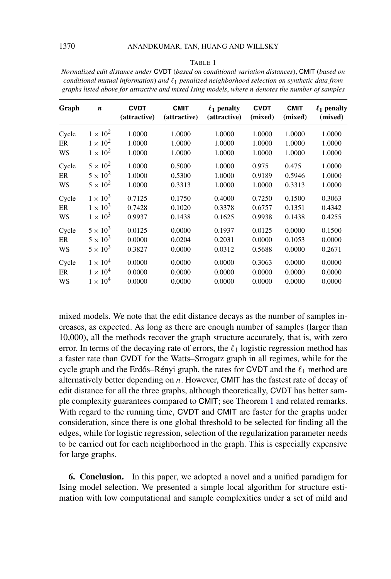#### TABLE 1

<span id="page-24-0"></span>*Normalized edit distance under* CVDT (*based on conditional variation distances*), CMIT (*based on conditional mutual information*) *and* 1 *penalized neighborhood selection on synthetic data from graphs listed above for attractive and mixed Ising models*, *where n denotes the number of samples*

| Graph | $\boldsymbol{n}$ | <b>CVDT</b><br>(attractive) | <b>CMIT</b><br>(attractive) | $\ell_1$ penalty<br>(attractive) | <b>CVDT</b><br>(mixed) | <b>CMIT</b><br>(mixed) | $\ell_1$ penalty<br>(mixed) |
|-------|------------------|-----------------------------|-----------------------------|----------------------------------|------------------------|------------------------|-----------------------------|
| Cycle | $1 \times 10^2$  | 1.0000                      | 1.0000                      | 1.0000                           | 1.0000                 | 1.0000                 | 1.0000                      |
| ER    | $1 \times 10^2$  | 1.0000                      | 1.0000                      | 1.0000                           | 1.0000                 | 1.0000                 | 1.0000                      |
| WS    | $1 \times 10^2$  | 1.0000                      | 1.0000                      | 1.0000                           | 1.0000                 | 1.0000                 | 1.0000                      |
| Cycle | $5 \times 10^2$  | 1.0000                      | 0.5000                      | 1.0000                           | 0.975                  | 0.475                  | 1.0000                      |
| ER    | $5 \times 10^2$  | 1.0000                      | 0.5300                      | 1.0000                           | 0.9189                 | 0.5946                 | 1.0000                      |
| WS    | $5 \times 10^2$  | 1.0000                      | 0.3313                      | 1.0000                           | 1.0000                 | 0.3313                 | 1.0000                      |
| Cycle | $1 \times 10^3$  | 0.7125                      | 0.1750                      | 0.4000                           | 0.7250                 | 0.1500                 | 0.3063                      |
| ER    | $1 \times 10^3$  | 0.7428                      | 0.1020                      | 0.3378                           | 0.6757                 | 0.1351                 | 0.4342                      |
| WS    | $1 \times 10^3$  | 0.9937                      | 0.1438                      | 0.1625                           | 0.9938                 | 0.1438                 | 0.4255                      |
| Cycle | $5 \times 10^3$  | 0.0125                      | 0.0000                      | 0.1937                           | 0.0125                 | 0.0000                 | 0.1500                      |
| ER    | $5 \times 10^3$  | 0.0000                      | 0.0204                      | 0.2031                           | 0.0000                 | 0.1053                 | 0.0000                      |
| WS    | $5 \times 10^3$  | 0.3827                      | 0.0000                      | 0.0312                           | 0.5688                 | 0.0000                 | 0.2671                      |
| Cycle | $1 \times 10^4$  | 0.0000                      | 0.0000                      | 0.0000                           | 0.3063                 | 0.0000                 | 0.0000                      |
| ER    | $1 \times 10^4$  | 0.0000                      | 0.0000                      | 0.0000                           | 0.0000                 | 0.0000                 | 0.0000                      |
| WS    | $1 \times 10^4$  | 0.0000                      | 0.0000                      | 0.0000                           | 0.0000                 | 0.0000                 | 0.0000                      |

mixed models. We note that the edit distance decays as the number of samples increases, as expected. As long as there are enough number of samples (larger than 10,000), all the methods recover the graph structure accurately, that is, with zero error. In terms of the decaying rate of errors, the  $\ell_1$  logistic regression method has a faster rate than CVDT for the Watts–Strogatz graph in all regimes, while for the cycle graph and the Erdős–Rényi graph, the rates for CVDT and the  $\ell_1$  method are alternatively better depending on *n*. However, CMIT has the fastest rate of decay of edit distance for all the three graphs, although theoretically, CVDT has better sample complexity guarantees compared to CMIT; see Theorem [1](#page-11-0) and related remarks. With regard to the running time, CVDT and CMIT are faster for the graphs under consideration, since there is one global threshold to be selected for finding all the edges, while for logistic regression, selection of the regularization parameter needs to be carried out for each neighborhood in the graph. This is especially expensive for large graphs.

**6. Conclusion.** In this paper, we adopted a novel and a unified paradigm for Ising model selection. We presented a simple local algorithm for structure estimation with low computational and sample complexities under a set of mild and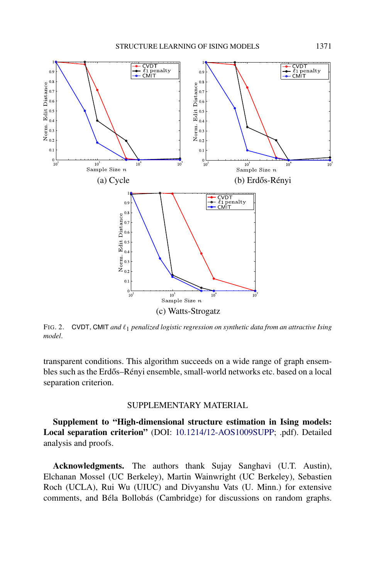<span id="page-25-0"></span>

FIG. 2. CVDT, CMIT *and*  $\ell_1$  *penalized logistic regression on synthetic data from an attractive Ising model*.

transparent conditions. This algorithm succeeds on a wide range of graph ensembles such as the Erdős–Rényi ensemble, small-world networks etc. based on a local separation criterion.

## SUPPLEMENTARY MATERIAL

**Supplement to "High-dimensional structure estimation in Ising models: Local separation criterion"** (DOI: [10.1214/12-AOS1009SUPP;](http://dx.doi.org/10.1214/12-AOS1009SUPP) .pdf). Detailed analysis and proofs.

**Acknowledgments.** The authors thank Sujay Sanghavi (U.T. Austin), Elchanan Mossel (UC Berkeley), Martin Wainwright (UC Berkeley), Sebastien Roch (UCLA), Rui Wu (UIUC) and Divyanshu Vats (U. Minn.) for extensive comments, and Béla Bollobás (Cambridge) for discussions on random graphs.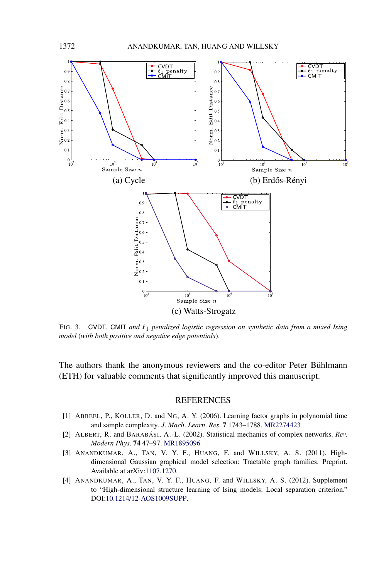<span id="page-26-0"></span>

FIG. 3. CVDT, CMIT *and*  $\ell_1$  *penalized logistic regression on synthetic data from a mixed Ising model* (*with both positive and negative edge potentials*).

The authors thank the anonymous reviewers and the co-editor Peter Bühlmann (ETH) for valuable comments that significantly improved this manuscript.

### **REFERENCES**

- [1] ABBEEL, P., KOLLER, D. and NG, A. Y. (2006). Learning factor graphs in polynomial time and sample complexity. *J*. *Mach*. *Learn*. *Res*. **7** 1743–1788. [MR2274423](http://www.ams.org/mathscinet-getitem?mr=2274423)
- [2] ALBERT, R. and BARABÁSI, A.-L. (2002). Statistical mechanics of complex networks. *Rev*. *Modern Phys*. **74** 47–97. [MR1895096](http://www.ams.org/mathscinet-getitem?mr=1895096)
- [3] ANANDKUMAR, A., TAN, V. Y. F., HUANG, F. and WILLSKY, A. S. (2011). Highdimensional Gaussian graphical model selection: Tractable graph families. Preprint. Available at arXiv[:1107.1270.](http://arxiv.org/abs/1107.1270)
- [4] ANANDKUMAR, A., TAN, V. Y. F., HUANG, F. and WILLSKY, A. S. (2012). Supplement to "High-dimensional structure learning of Ising models: Local separation criterion." DOI[:10.1214/12-AOS1009SUPP](http://dx.doi.org/10.1214/12-AOS1009SUPP).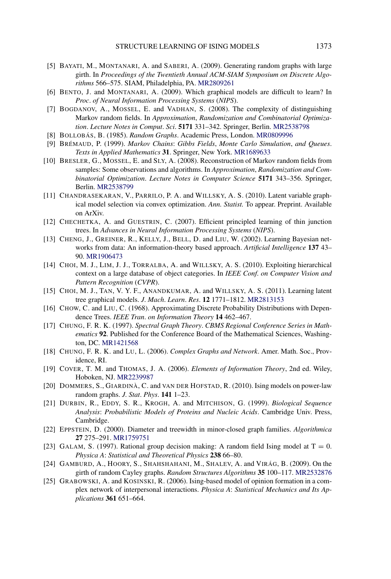- <span id="page-27-0"></span>[5] BAYATI, M., MONTANARI, A. and SABERI, A. (2009). Generating random graphs with large girth. In *Proceedings of the Twentieth Annual ACM-SIAM Symposium on Discrete Algorithms* 566–575. SIAM, Philadelphia, PA. [MR2809261](http://www.ams.org/mathscinet-getitem?mr=2809261)
- [6] BENTO, J. and MONTANARI, A. (2009). Which graphical models are difficult to learn? In *Proc*. *of Neural Information Processing Systems* (*NIPS*).
- [7] BOGDANOV, A., MOSSEL, E. and VADHAN, S. (2008). The complexity of distinguishing Markov random fields. In *Approximation*, *Randomization and Combinatorial Optimization*. *Lecture Notes in Comput*. *Sci*. **5171** 331–342. Springer, Berlin. [MR2538798](http://www.ams.org/mathscinet-getitem?mr=2538798)
- [8] BOLLOBÁS, B. (1985). *Random Graphs*. Academic Press, London. [MR0809996](http://www.ams.org/mathscinet-getitem?mr=0809996)
- [9] BRÉMAUD, P. (1999). *Markov Chains*: *Gibbs Fields*, *Monte Carlo Simulation*, *and Queues*. *Texts in Applied Mathematics* **31**. Springer, New York. [MR1689633](http://www.ams.org/mathscinet-getitem?mr=1689633)
- [10] BRESLER, G., MOSSEL, E. and SLY, A. (2008). Reconstruction of Markov random fields from samples: Some observations and algorithms. In *Approximation*, *Randomization and Combinatorial Optimization*. *Lecture Notes in Computer Science* **5171** 343–356. Springer, Berlin. [MR2538799](http://www.ams.org/mathscinet-getitem?mr=2538799)
- [11] CHANDRASEKARAN, V., PARRILO, P. A. and WILLSKY, A. S. (2010). Latent variable graphical model selection via convex optimization. *Ann. Statist.* To appear. Preprint. Available on ArXiv.
- [12] CHECHETKA, A. and GUESTRIN, C. (2007). Efficient principled learning of thin junction trees. In *Advances in Neural Information Processing Systems* (*NIPS*).
- [13] CHENG, J., GREINER, R., KELLY, J., BELL, D. and LIU, W. (2002). Learning Bayesian networks from data: An information-theory based approach. *Artificial Intelligence* **137** 43– 90. [MR1906473](http://www.ams.org/mathscinet-getitem?mr=1906473)
- [14] CHOI, M. J., LIM, J. J., TORRALBA, A. and WILLSKY, A. S. (2010). Exploiting hierarchical context on a large database of object categories. In *IEEE Conf*. *on Computer Vision and Pattern Recognition* (*CVPR*).
- [15] CHOI, M. J., TAN, V. Y. F., ANANDKUMAR, A. and WILLSKY, A. S. (2011). Learning latent tree graphical models. *J*. *Mach*. *Learn*. *Res*. **12** 1771–1812. [MR2813153](http://www.ams.org/mathscinet-getitem?mr=2813153)
- [16] CHOW, C. and LIU, C. (1968). Approximating Discrete Probability Distributions with Dependence Trees. *IEEE Tran*. *on Information Theory* **14** 462–467.
- [17] CHUNG, F. R. K. (1997). *Spectral Graph Theory*. *CBMS Regional Conference Series in Mathematics* **92**. Published for the Conference Board of the Mathematical Sciences, Washington, DC. [MR1421568](http://www.ams.org/mathscinet-getitem?mr=1421568)
- [18] CHUNG, F. R. K. and LU, L. (2006). *Complex Graphs and Network*. Amer. Math. Soc., Providence, RI.
- [19] COVER, T. M. and THOMAS, J. A. (2006). *Elements of Information Theory*, 2nd ed. Wiley, Hoboken, NJ. [MR2239987](http://www.ams.org/mathscinet-getitem?mr=2239987)
- [20] DOMMERS, S., GIARDINÀ, C. and VAN DER HOFSTAD, R. (2010). Ising models on power-law random graphs. *J*. *Stat*. *Phys*. **141** 1–23.
- [21] DURBIN, R., EDDY, S. R., KROGH, A. and MITCHISON, G. (1999). *Biological Sequence Analysis*: *Probabilistic Models of Proteins and Nucleic Acids*. Cambridge Univ. Press, Cambridge.
- [22] EPPSTEIN, D. (2000). Diameter and treewidth in minor-closed graph families. *Algorithmica* **27** 275–291. [MR1759751](http://www.ams.org/mathscinet-getitem?mr=1759751)
- [23] GALAM, S. (1997). Rational group decision making: A random field Ising model at  $T = 0$ . *Physica A*: *Statistical and Theoretical Physics* **238** 66–80.
- [24] GAMBURD, A., HOORY, S., SHAHSHAHANI, M., SHALEV, A. and VIRÁG, B. (2009). On the girth of random Cayley graphs. *Random Structures Algorithms* **35** 100–117. [MR2532876](http://www.ams.org/mathscinet-getitem?mr=2532876)
- [25] GRABOWSKI, A. and KOSINSKI, R. (2006). Ising-based model of opinion formation in a complex network of interpersonal interactions. *Physica A*: *Statistical Mechanics and Its Applications* **361** 651–664.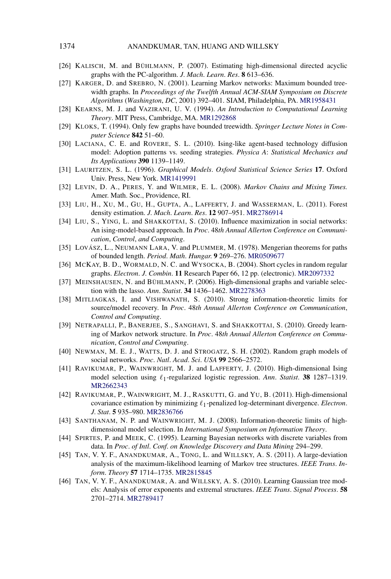- <span id="page-28-0"></span>[26] KALISCH, M. and BÜHLMANN, P. (2007). Estimating high-dimensional directed acyclic graphs with the PC-algorithm. *J*. *Mach*. *Learn*. *Res*. **8** 613–636.
- [27] KARGER, D. and SREBRO, N. (2001). Learning Markov networks: Maximum bounded treewidth graphs. In *Proceedings of the Twelfth Annual ACM-SIAM Symposium on Discrete Algorithms* (*Washington*, *DC*, 2001) 392–401. SIAM, Philadelphia, PA. [MR1958431](http://www.ams.org/mathscinet-getitem?mr=1958431)
- [28] KEARNS, M. J. and VAZIRANI, U. V. (1994). *An Introduction to Computational Learning Theory*. MIT Press, Cambridge, MA. [MR1292868](http://www.ams.org/mathscinet-getitem?mr=1292868)
- [29] KLOKS, T. (1994). Only few graphs have bounded treewidth. *Springer Lecture Notes in Computer Science* **842** 51–60.
- [30] LACIANA, C. E. and ROVERE, S. L. (2010). Ising-like agent-based technology diffusion model: Adoption patterns vs. seeding strategies. *Physica A*: *Statistical Mechanics and Its Applications* **390** 1139–1149.
- [31] LAURITZEN, S. L. (1996). *Graphical Models*. *Oxford Statistical Science Series* **17**. Oxford Univ. Press, New York. [MR1419991](http://www.ams.org/mathscinet-getitem?mr=1419991)
- [32] LEVIN, D. A., PERES, Y. and WILMER, E. L. (2008). *Markov Chains and Mixing Times.* Amer. Math. Soc., Providence, RI.
- [33] LIU, H., XU, M., GU, H., GUPTA, A., LAFFERTY, J. and WASSERMAN, L. (2011). Forest density estimation. *J*. *Mach*. *Learn*. *Res*. **12** 907–951. [MR2786914](http://www.ams.org/mathscinet-getitem?mr=2786914)
- [34] LIU, S., YING, L. and SHAKKOTTAI, S. (2010). Influence maximization in social networks: An ising-model-based approach. In *Proc*. 48*th Annual Allerton Conference on Communication*, *Control*, *and Computing*.
- [35] LOVÁSZ, L., NEUMANN LARA, V. and PLUMMER, M. (1978). Mengerian theorems for paths of bounded length. *Period*. *Math*. *Hungar*. **9** 269–276. [MR0509677](http://www.ams.org/mathscinet-getitem?mr=0509677)
- [36] MCKAY, B. D., WORMALD, N. C. and WYSOCKA, B. (2004). Short cycles in random regular graphs. *Electron*. *J*. *Combin*. **11** Research Paper 66, 12 pp. (electronic). [MR2097332](http://www.ams.org/mathscinet-getitem?mr=2097332)
- [37] MEINSHAUSEN, N. and BÜHLMANN, P. (2006). High-dimensional graphs and variable selection with the lasso. *Ann*. *Statist*. **34** 1436–1462. [MR2278363](http://www.ams.org/mathscinet-getitem?mr=2278363)
- [38] MITLIAGKAS, I. and VISHWANATH, S. (2010). Strong information-theoretic limits for source/model recovery. In *Proc*. 48*th Annual Allerton Conference on Communication*, *Control and Computing*.
- [39] NETRAPALLI, P., BANERJEE, S., SANGHAVI, S. and SHAKKOTTAI, S. (2010). Greedy learning of Markov network structure. In *Proc*. 48*th Annual Allerton Conference on Communication*, *Control and Computing*.
- [40] NEWMAN, M. E. J., WATTS, D. J. and STROGATZ, S. H. (2002). Random graph models of social networks. *Proc*. *Natl*. *Acad*. *Sci*. *USA* **99** 2566–2572.
- [41] RAVIKUMAR, P., WAINWRIGHT, M. J. and LAFFERTY, J. (2010). High-dimensional Ising model selection using  $\ell_1$ -regularized logistic regression. Ann. Statist. 38 1287-1319. [MR2662343](http://www.ams.org/mathscinet-getitem?mr=2662343)
- [42] RAVIKUMAR, P., WAINWRIGHT, M. J., RASKUTTI, G. and YU, B. (2011). High-dimensional covariance estimation by minimizing 1-penalized log-determinant divergence. *Electron*. *J*. *Stat*. **5** 935–980. [MR2836766](http://www.ams.org/mathscinet-getitem?mr=2836766)
- [43] SANTHANAM, N. P. and WAINWRIGHT, M. J. (2008). Information-theoretic limits of highdimensional model selection. In *International Symposium on Information Theory*.
- [44] SPIRTES, P. and MEEK, C. (1995). Learning Bayesian networks with discrete variables from data. In *Proc*. *of Intl*. *Conf*. *on Knowledge Discovery and Data Mining* 294–299.
- [45] TAN, V. Y. F., ANANDKUMAR, A., TONG, L. and WILLSKY, A. S. (2011). A large-deviation analysis of the maximum-likelihood learning of Markov tree structures. *IEEE Trans*. *Inform*. *Theory* **57** 1714–1735. [MR2815845](http://www.ams.org/mathscinet-getitem?mr=2815845)
- [46] TAN, V. Y. F., ANANDKUMAR, A. and WILLSKY, A. S. (2010). Learning Gaussian tree models: Analysis of error exponents and extremal structures. *IEEE Trans*. *Signal Process*. **58** 2701–2714. [MR2789417](http://www.ams.org/mathscinet-getitem?mr=2789417)